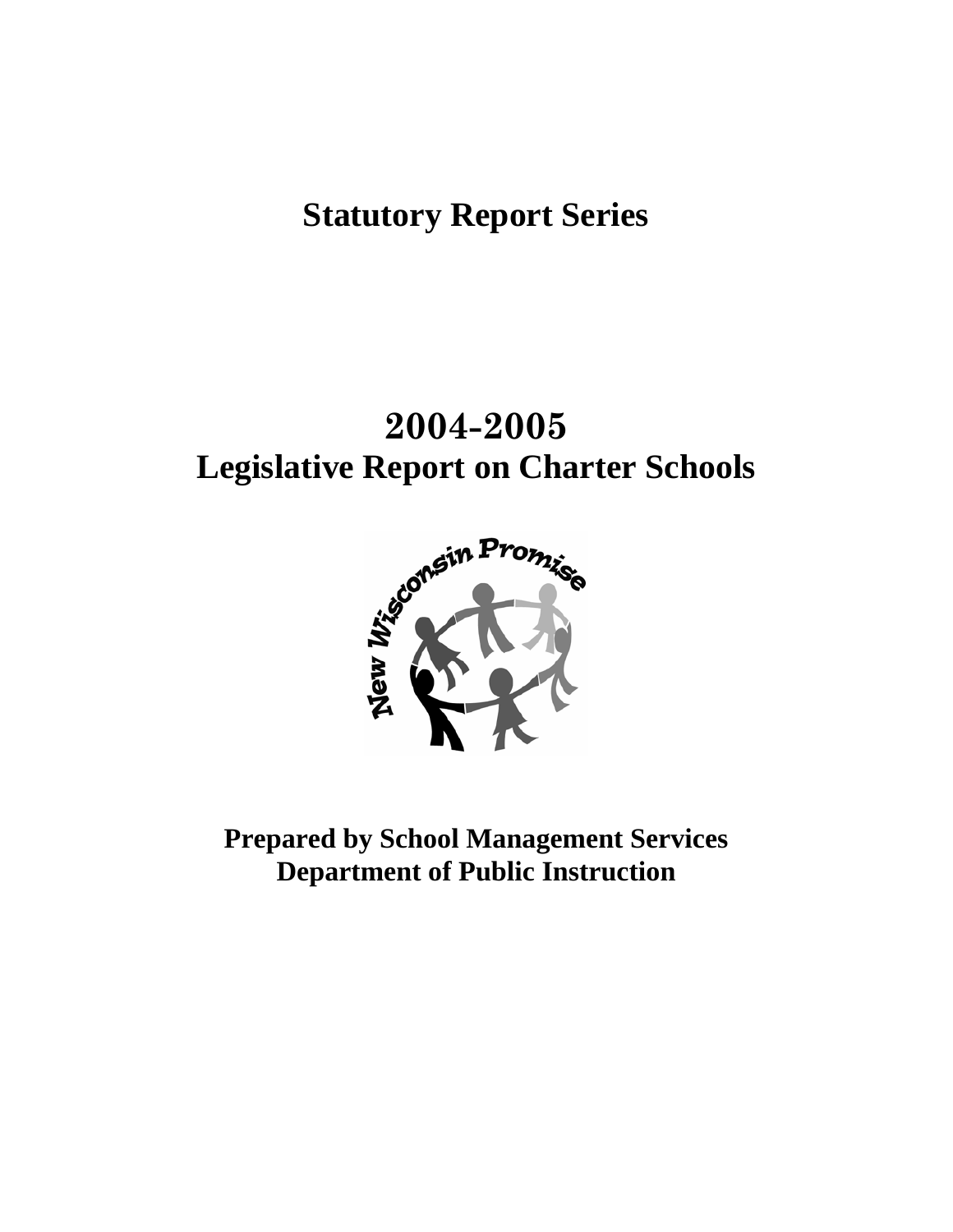# **Statutory Report Series**

# **2004-2005 Legislative Report on Charter Schools**



**Prepared by School Management Services Department of Public Instruction**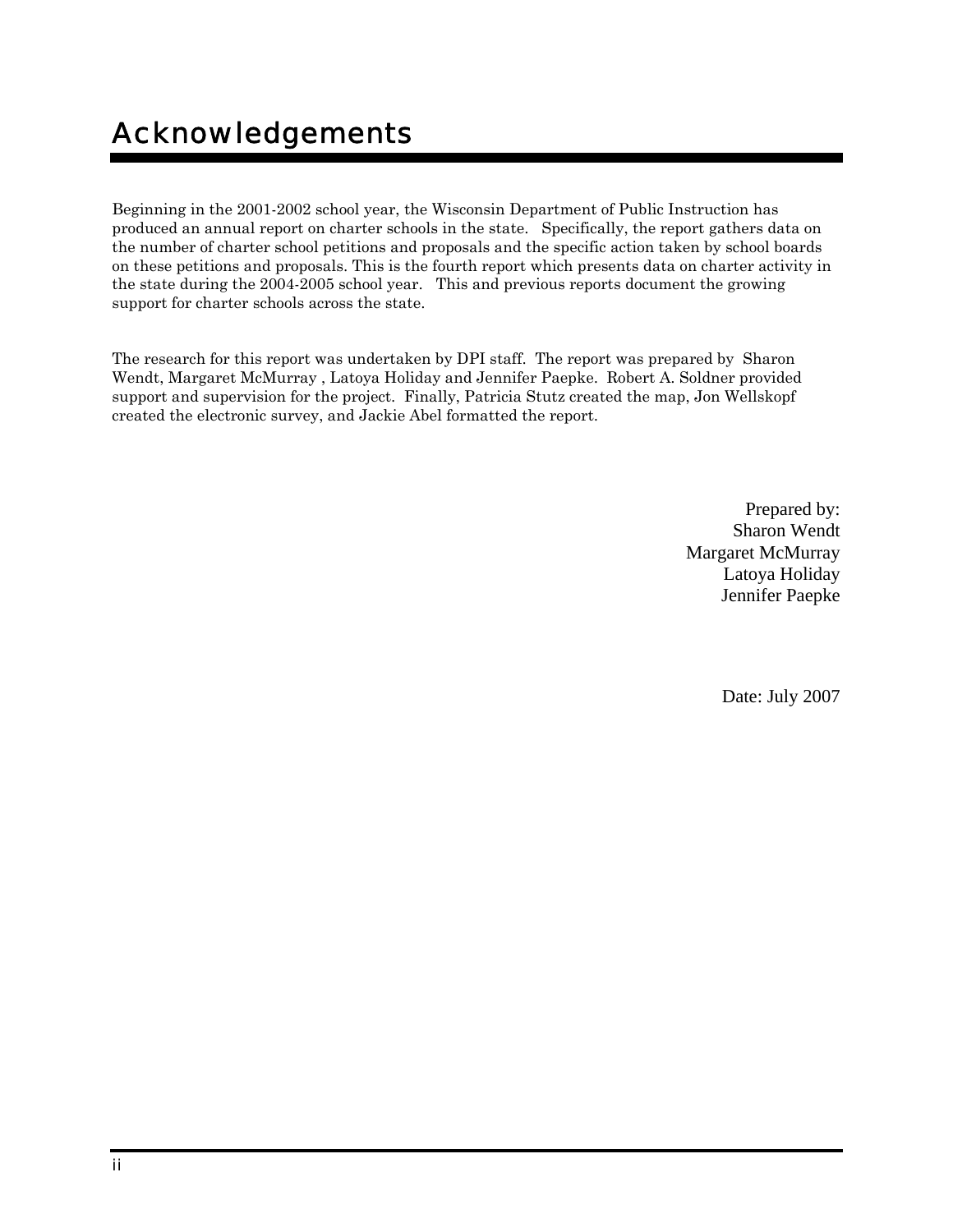# Acknowledgements

Beginning in the 2001-2002 school year, the Wisconsin Department of Public Instruction has produced an annual report on charter schools in the state. Specifically, the report gathers data on the number of charter school petitions and proposals and the specific action taken by school boards on these petitions and proposals. This is the fourth report which presents data on charter activity in the state during the 2004-2005 school year. This and previous reports document the growing support for charter schools across the state.

The research for this report was undertaken by DPI staff. The report was prepared by Sharon Wendt, Margaret McMurray , Latoya Holiday and Jennifer Paepke. Robert A. Soldner provided support and supervision for the project. Finally, Patricia Stutz created the map, Jon Wellskopf created the electronic survey, and Jackie Abel formatted the report.

> Prepared by: Sharon Wendt Margaret McMurray Latoya Holiday Jennifer Paepke

> > Date: July 2007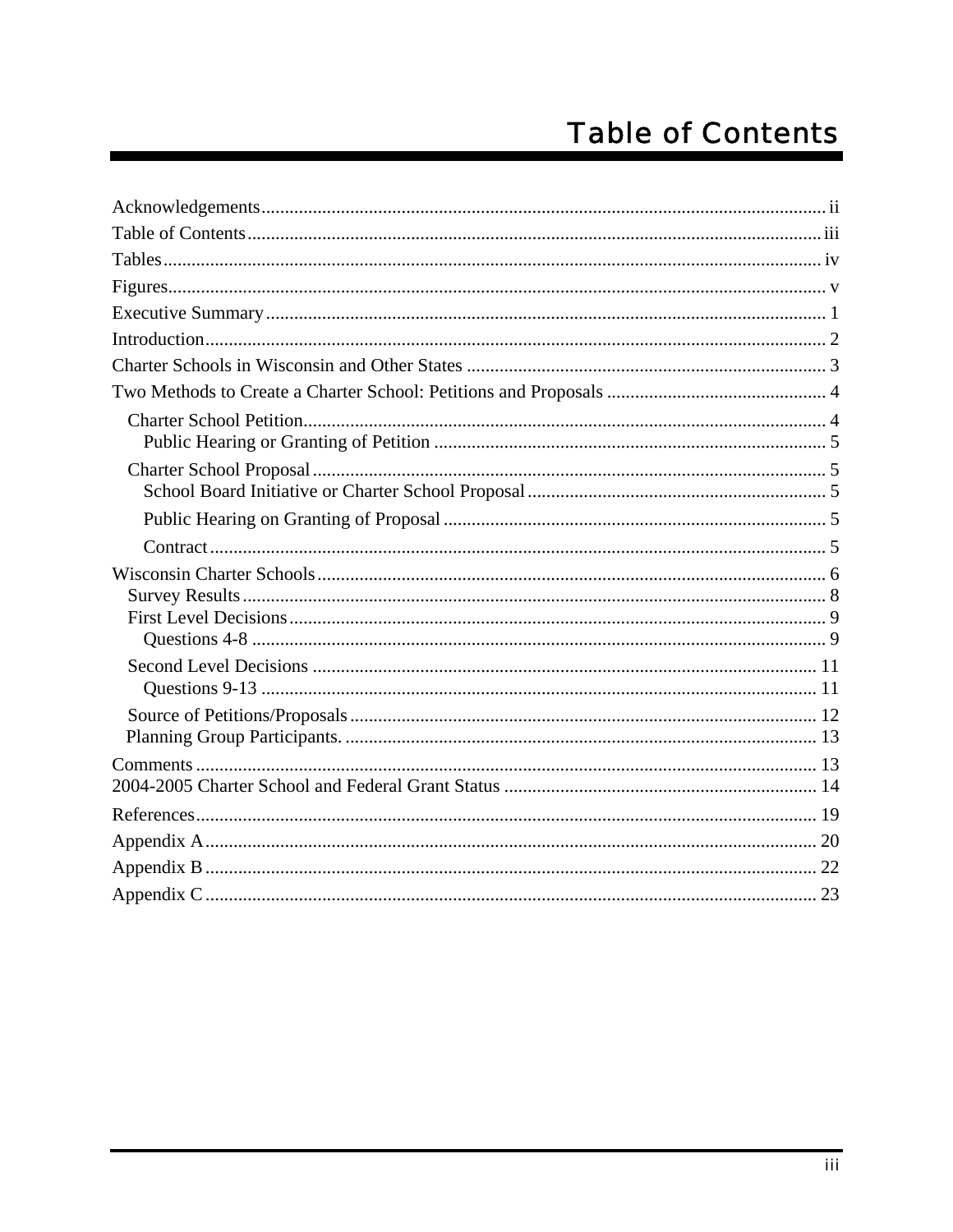# **Table of Contents**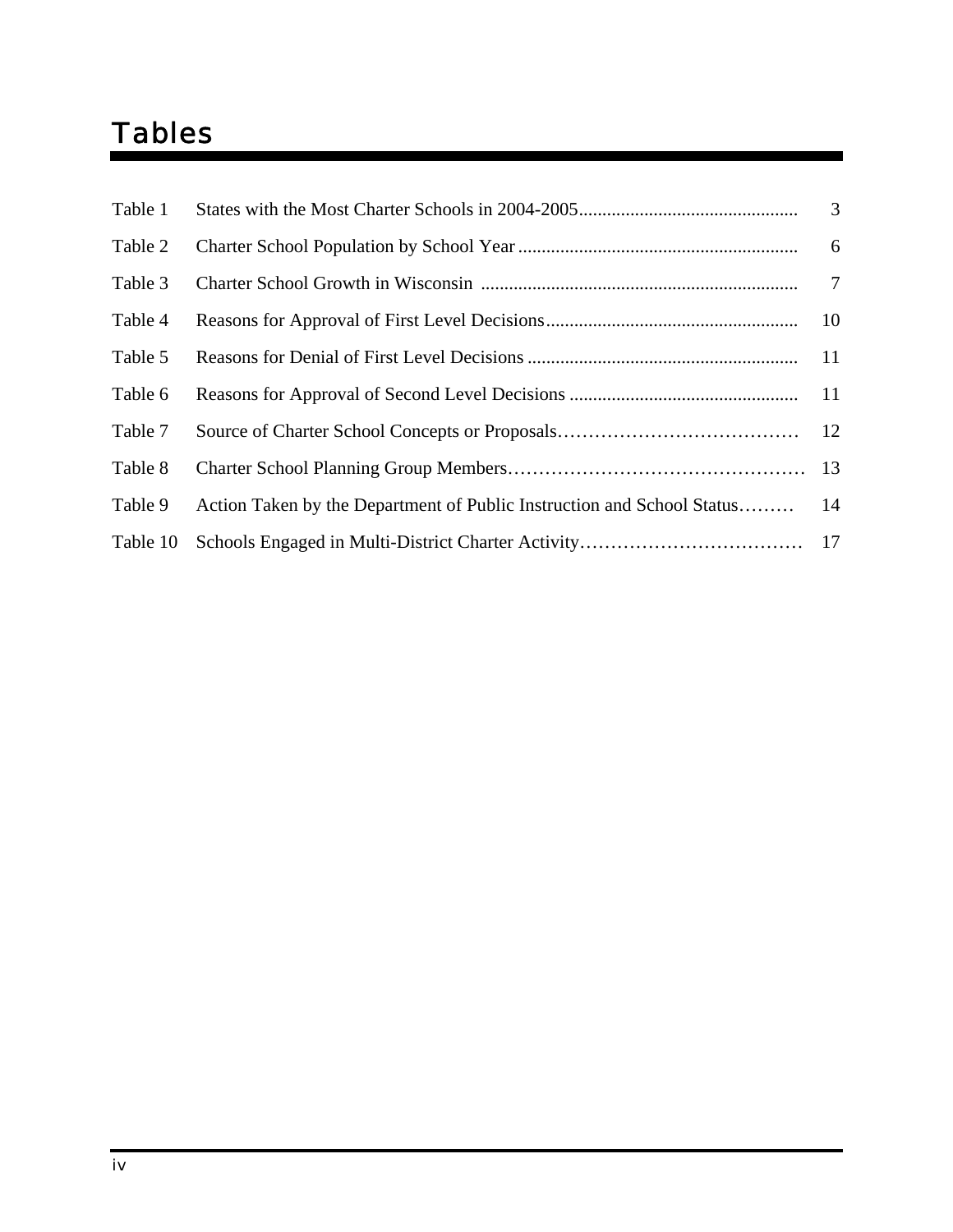# Tables

| Table 1  |                                                                        | 3         |
|----------|------------------------------------------------------------------------|-----------|
| Table 2  |                                                                        | 6         |
| Table 3  |                                                                        |           |
| Table 4  |                                                                        | 10        |
| Table 5  |                                                                        | <b>11</b> |
| Table 6  |                                                                        |           |
| Table 7  |                                                                        |           |
| Table 8  |                                                                        |           |
| Table 9  | Action Taken by the Department of Public Instruction and School Status | 14        |
| Table 10 |                                                                        |           |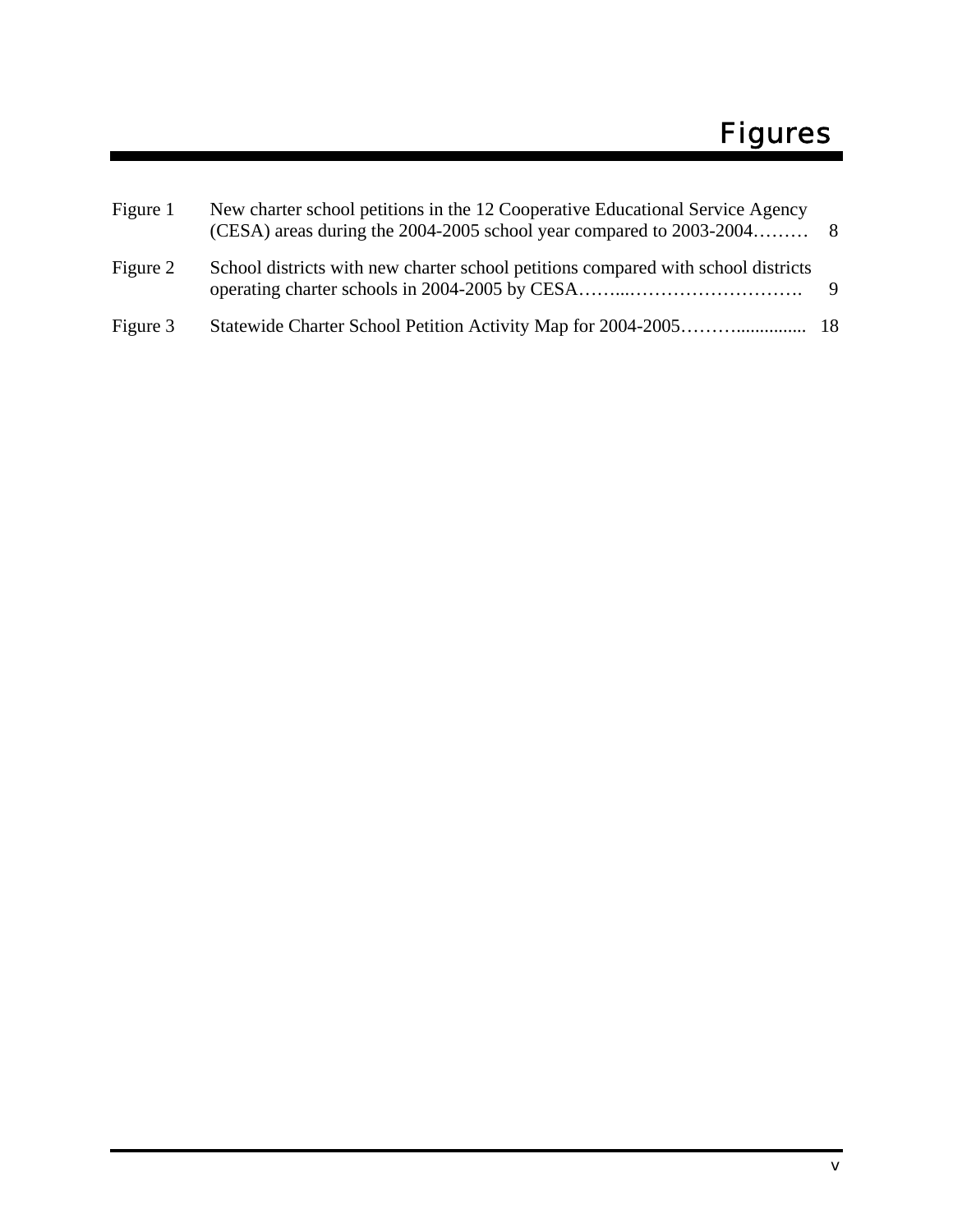| Figure 1 | New charter school petitions in the 12 Cooperative Educational Service Agency     |     |
|----------|-----------------------------------------------------------------------------------|-----|
| Figure 2 | School districts with new charter school petitions compared with school districts | - 9 |
| Figure 3 |                                                                                   |     |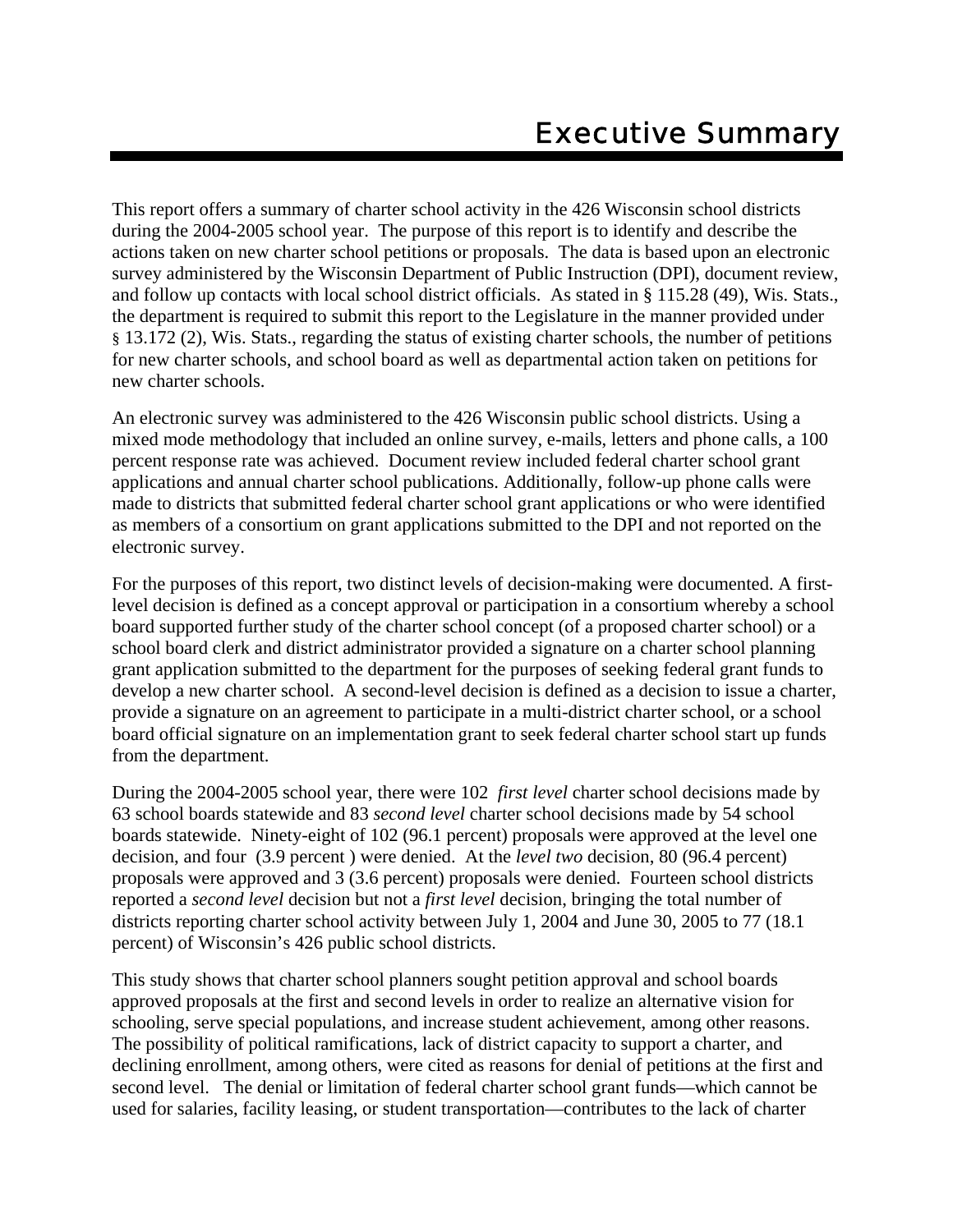This report offers a summary of charter school activity in the 426 Wisconsin school districts during the 2004-2005 school year. The purpose of this report is to identify and describe the actions taken on new charter school petitions or proposals. The data is based upon an electronic survey administered by the Wisconsin Department of Public Instruction (DPI), document review, and follow up contacts with local school district officials. As stated in § 115.28 (49), Wis. Stats., the department is required to submit this report to the Legislature in the manner provided under § 13.172 (2), Wis. Stats., regarding the status of existing charter schools, the number of petitions for new charter schools, and school board as well as departmental action taken on petitions for new charter schools.

An electronic survey was administered to the 426 Wisconsin public school districts. Using a mixed mode methodology that included an online survey, e-mails, letters and phone calls, a 100 percent response rate was achieved. Document review included federal charter school grant applications and annual charter school publications. Additionally, follow-up phone calls were made to districts that submitted federal charter school grant applications or who were identified as members of a consortium on grant applications submitted to the DPI and not reported on the electronic survey.

For the purposes of this report, two distinct levels of decision-making were documented. A firstlevel decision is defined as a concept approval or participation in a consortium whereby a school board supported further study of the charter school concept (of a proposed charter school) or a school board clerk and district administrator provided a signature on a charter school planning grant application submitted to the department for the purposes of seeking federal grant funds to develop a new charter school. A second-level decision is defined as a decision to issue a charter, provide a signature on an agreement to participate in a multi-district charter school, or a school board official signature on an implementation grant to seek federal charter school start up funds from the department.

During the 2004-2005 school year, there were 102 *first level* charter school decisions made by 63 school boards statewide and 83 *second level* charter school decisions made by 54 school boards statewide. Ninety-eight of 102 (96.1 percent) proposals were approved at the level one decision, and four (3.9 percent ) were denied. At the *level two* decision, 80 (96.4 percent) proposals were approved and 3 (3.6 percent) proposals were denied. Fourteen school districts reported a *second level* decision but not a *first level* decision, bringing the total number of districts reporting charter school activity between July 1, 2004 and June 30, 2005 to 77 (18.1 percent) of Wisconsin's 426 public school districts.

This study shows that charter school planners sought petition approval and school boards approved proposals at the first and second levels in order to realize an alternative vision for schooling, serve special populations, and increase student achievement, among other reasons. The possibility of political ramifications, lack of district capacity to support a charter, and declining enrollment, among others, were cited as reasons for denial of petitions at the first and second level. The denial or limitation of federal charter school grant funds—which cannot be used for salaries, facility leasing, or student transportation—contributes to the lack of charter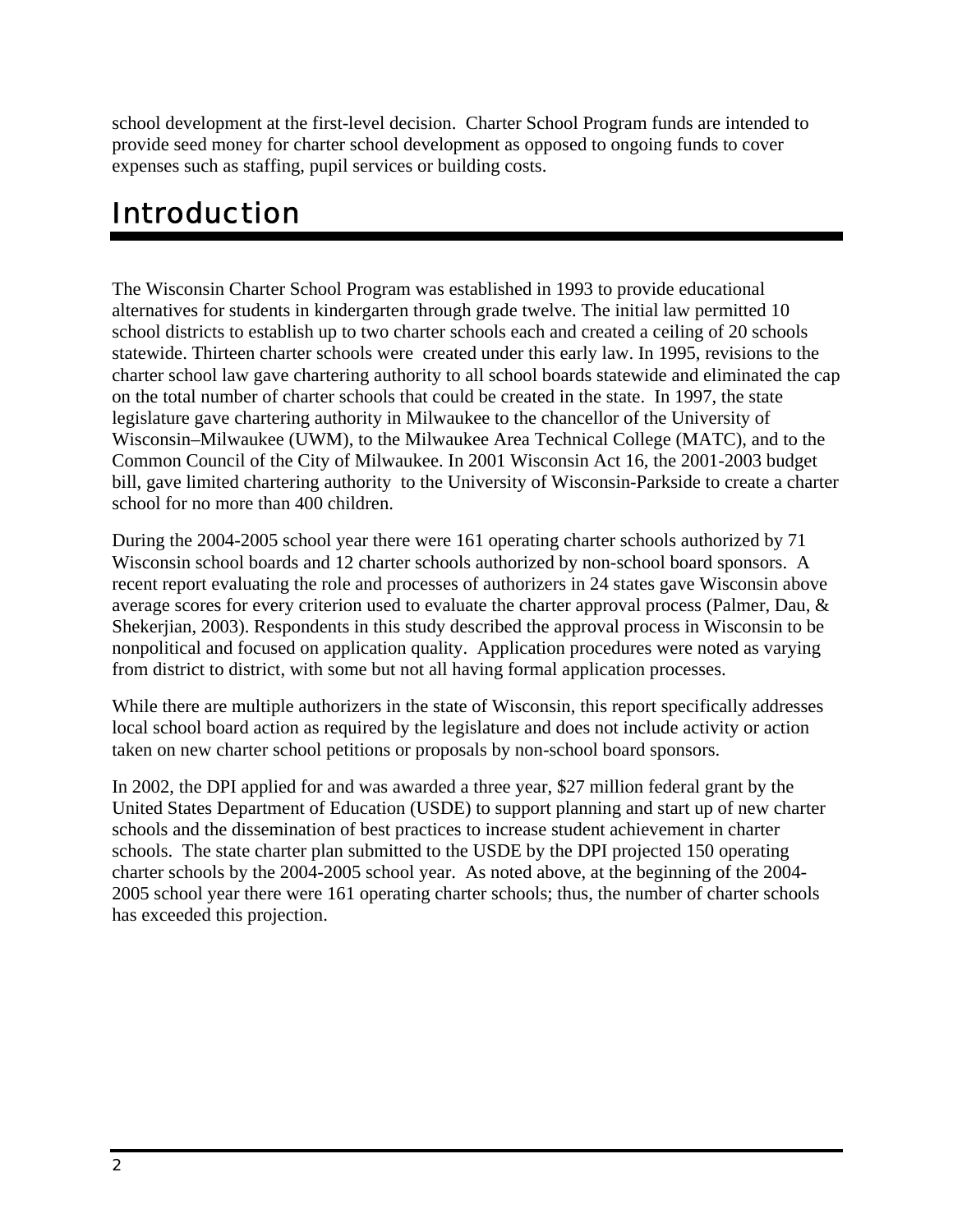school development at the first-level decision. Charter School Program funds are intended to provide seed money for charter school development as opposed to ongoing funds to cover expenses such as staffing, pupil services or building costs.

# Introduction

The Wisconsin Charter School Program was established in 1993 to provide educational alternatives for students in kindergarten through grade twelve. The initial law permitted 10 school districts to establish up to two charter schools each and created a ceiling of 20 schools statewide. Thirteen charter schools were created under this early law. In 1995, revisions to the charter school law gave chartering authority to all school boards statewide and eliminated the cap on the total number of charter schools that could be created in the state. In 1997, the state legislature gave chartering authority in Milwaukee to the chancellor of the University of Wisconsin–Milwaukee (UWM), to the Milwaukee Area Technical College (MATC), and to the Common Council of the City of Milwaukee. In 2001 Wisconsin Act 16, the 2001-2003 budget bill, gave limited chartering authority to the University of Wisconsin-Parkside to create a charter school for no more than 400 children.

During the 2004-2005 school year there were 161 operating charter schools authorized by 71 Wisconsin school boards and 12 charter schools authorized by non-school board sponsors. A recent report evaluating the role and processes of authorizers in 24 states gave Wisconsin above average scores for every criterion used to evaluate the charter approval process (Palmer, Dau, & Shekerjian, 2003). Respondents in this study described the approval process in Wisconsin to be nonpolitical and focused on application quality. Application procedures were noted as varying from district to district, with some but not all having formal application processes.

While there are multiple authorizers in the state of Wisconsin, this report specifically addresses local school board action as required by the legislature and does not include activity or action taken on new charter school petitions or proposals by non-school board sponsors.

In 2002, the DPI applied for and was awarded a three year, \$27 million federal grant by the United States Department of Education (USDE) to support planning and start up of new charter schools and the dissemination of best practices to increase student achievement in charter schools. The state charter plan submitted to the USDE by the DPI projected 150 operating charter schools by the 2004-2005 school year. As noted above, at the beginning of the 2004- 2005 school year there were 161 operating charter schools; thus, the number of charter schools has exceeded this projection.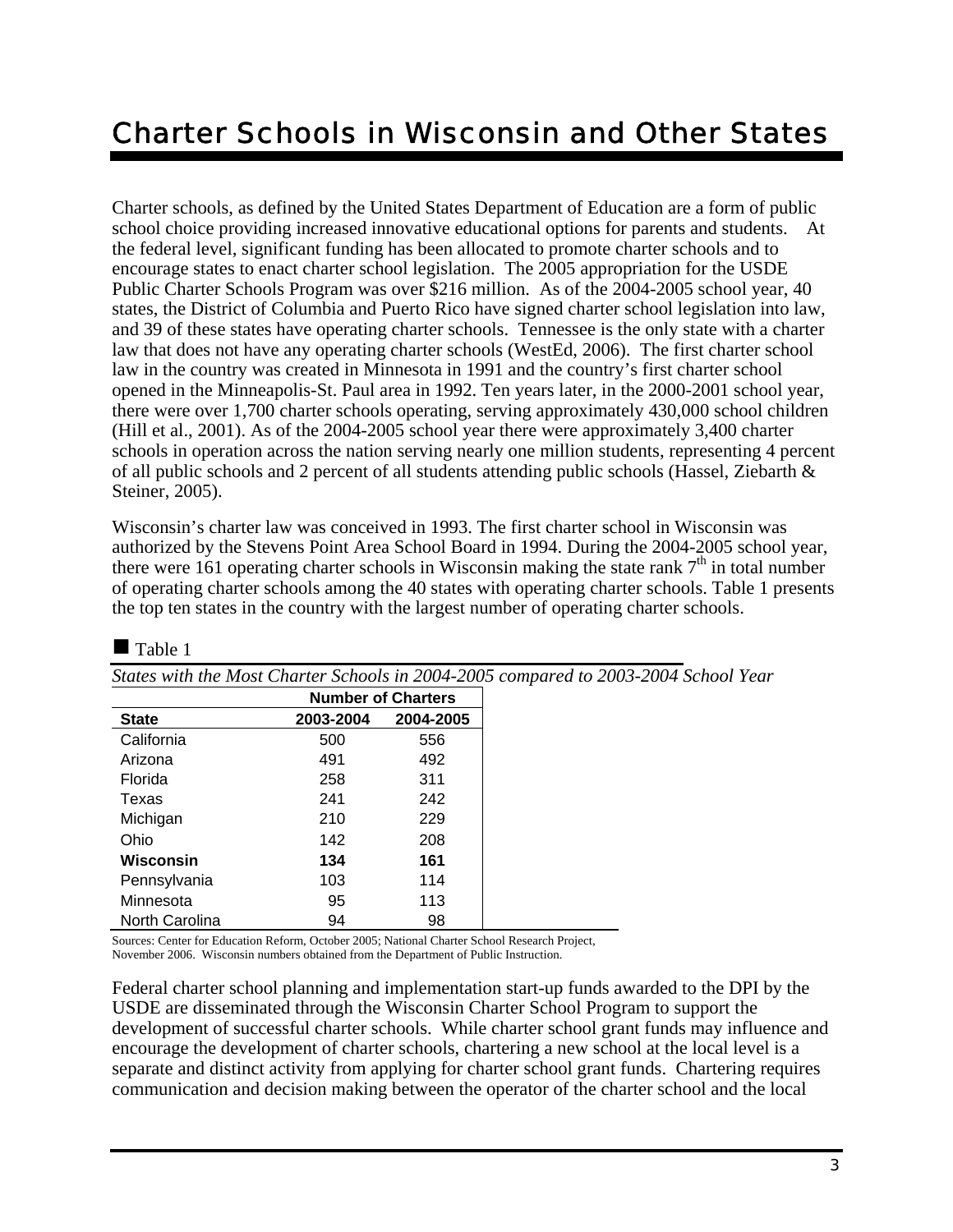# Charter Schools in Wisconsin and Other States

Charter schools, as defined by the United States Department of Education are a form of public school choice providing increased innovative educational options for parents and students. At the federal level, significant funding has been allocated to promote charter schools and to encourage states to enact charter school legislation. The 2005 appropriation for the USDE Public Charter Schools Program was over \$216 million. As of the 2004-2005 school year, 40 states, the District of Columbia and Puerto Rico have signed charter school legislation into law, and 39 of these states have operating charter schools. Tennessee is the only state with a charter law that does not have any operating charter schools (WestEd, 2006). The first charter school law in the country was created in Minnesota in 1991 and the country's first charter school opened in the Minneapolis-St. Paul area in 1992. Ten years later, in the 2000-2001 school year, there were over 1,700 charter schools operating, serving approximately 430,000 school children (Hill et al., 2001). As of the 2004-2005 school year there were approximately 3,400 charter schools in operation across the nation serving nearly one million students, representing 4 percent of all public schools and 2 percent of all students attending public schools (Hassel, Ziebarth & Steiner, 2005).

Wisconsin's charter law was conceived in 1993. The first charter school in Wisconsin was authorized by the Stevens Point Area School Board in 1994. During the 2004-2005 school year, there were 161 operating charter schools in Wisconsin making the state rank  $7<sup>th</sup>$  in total number of operating charter schools among the 40 states with operating charter schools. Table 1 presents the top ten states in the country with the largest number of operating charter schools.

| States with the Most Charter Schools in 2004-2005 compared to 200 |           |                           |  |
|-------------------------------------------------------------------|-----------|---------------------------|--|
|                                                                   |           | <b>Number of Charters</b> |  |
| <b>State</b>                                                      | 2003-2004 | 2004-2005                 |  |
| California                                                        | 500       | 556                       |  |
| Arizona                                                           | 491       | 492                       |  |
| Florida                                                           | 258       | 311                       |  |
| Texas                                                             | 241       | 242                       |  |
| Michigan                                                          | 210       | 229                       |  |
| Ohio                                                              | 142       | 208                       |  |
| Wisconsin                                                         | 134       | 161                       |  |
| Pennsylvania                                                      | 103       | 114                       |  |
| Minnesota                                                         | 95        | 113                       |  |
| North Carolina                                                    | 94        | 98                        |  |

 $\blacksquare$  Table 1

*States with the Most Charter Schools in 2004-2005 compared to 2003-2004 School Year* 

Sources: Center for Education Reform, October 2005; National Charter School Research Project, November 2006. Wisconsin numbers obtained from the Department of Public Instruction.

Federal charter school planning and implementation start-up funds awarded to the DPI by the USDE are disseminated through the Wisconsin Charter School Program to support the development of successful charter schools. While charter school grant funds may influence and encourage the development of charter schools, chartering a new school at the local level is a separate and distinct activity from applying for charter school grant funds. Chartering requires communication and decision making between the operator of the charter school and the local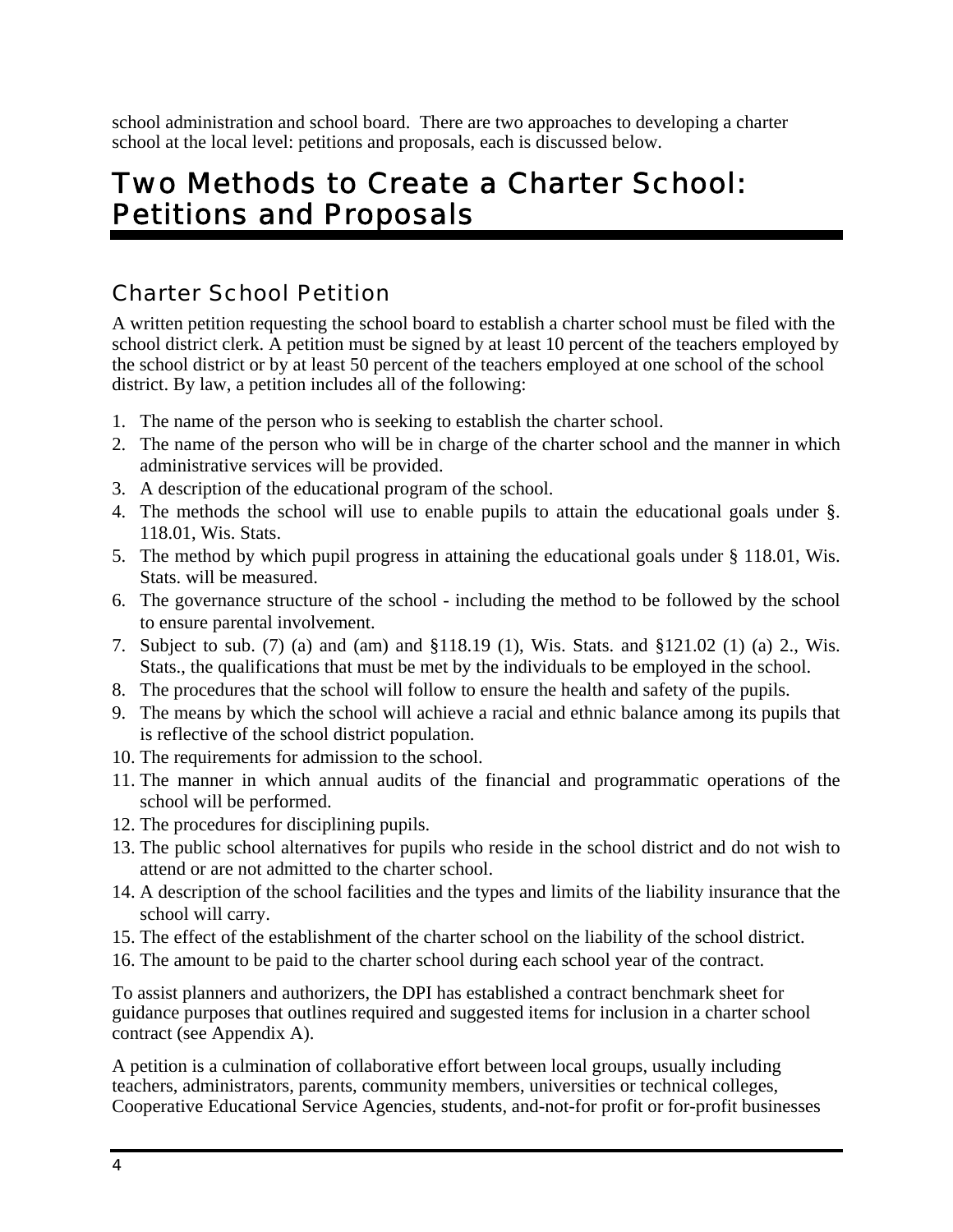school administration and school board. There are two approaches to developing a charter school at the local level: petitions and proposals, each is discussed below.

# Two Methods to Create a Charter School: Petitions and Proposals

## Charter School Petition

A written petition requesting the school board to establish a charter school must be filed with the school district clerk. A petition must be signed by at least 10 percent of the teachers employed by the school district or by at least 50 percent of the teachers employed at one school of the school district. By law, a petition includes all of the following:

- 1. The name of the person who is seeking to establish the charter school.
- 2. The name of the person who will be in charge of the charter school and the manner in which administrative services will be provided.
- 3. A description of the educational program of the school.
- 4. The methods the school will use to enable pupils to attain the educational goals under §. 118.01, Wis. Stats.
- 5. The method by which pupil progress in attaining the educational goals under § 118.01, Wis. Stats. will be measured.
- 6. The governance structure of the school including the method to be followed by the school to ensure parental involvement.
- 7. Subject to sub. (7) (a) and (am) and §118.19 (1), Wis. Stats. and §121.02 (1) (a) 2., Wis. Stats., the qualifications that must be met by the individuals to be employed in the school.
- 8. The procedures that the school will follow to ensure the health and safety of the pupils.
- 9. The means by which the school will achieve a racial and ethnic balance among its pupils that is reflective of the school district population.
- 10. The requirements for admission to the school.
- 11. The manner in which annual audits of the financial and programmatic operations of the school will be performed.
- 12. The procedures for disciplining pupils.
- 13. The public school alternatives for pupils who reside in the school district and do not wish to attend or are not admitted to the charter school.
- 14. A description of the school facilities and the types and limits of the liability insurance that the school will carry.
- 15. The effect of the establishment of the charter school on the liability of the school district.
- 16. The amount to be paid to the charter school during each school year of the contract.

To assist planners and authorizers, the DPI has established a contract benchmark sheet for guidance purposes that outlines required and suggested items for inclusion in a charter school contract (see Appendix A).

A petition is a culmination of collaborative effort between local groups, usually including teachers, administrators, parents, community members, universities or technical colleges, Cooperative Educational Service Agencies, students, and-not-for profit or for-profit businesses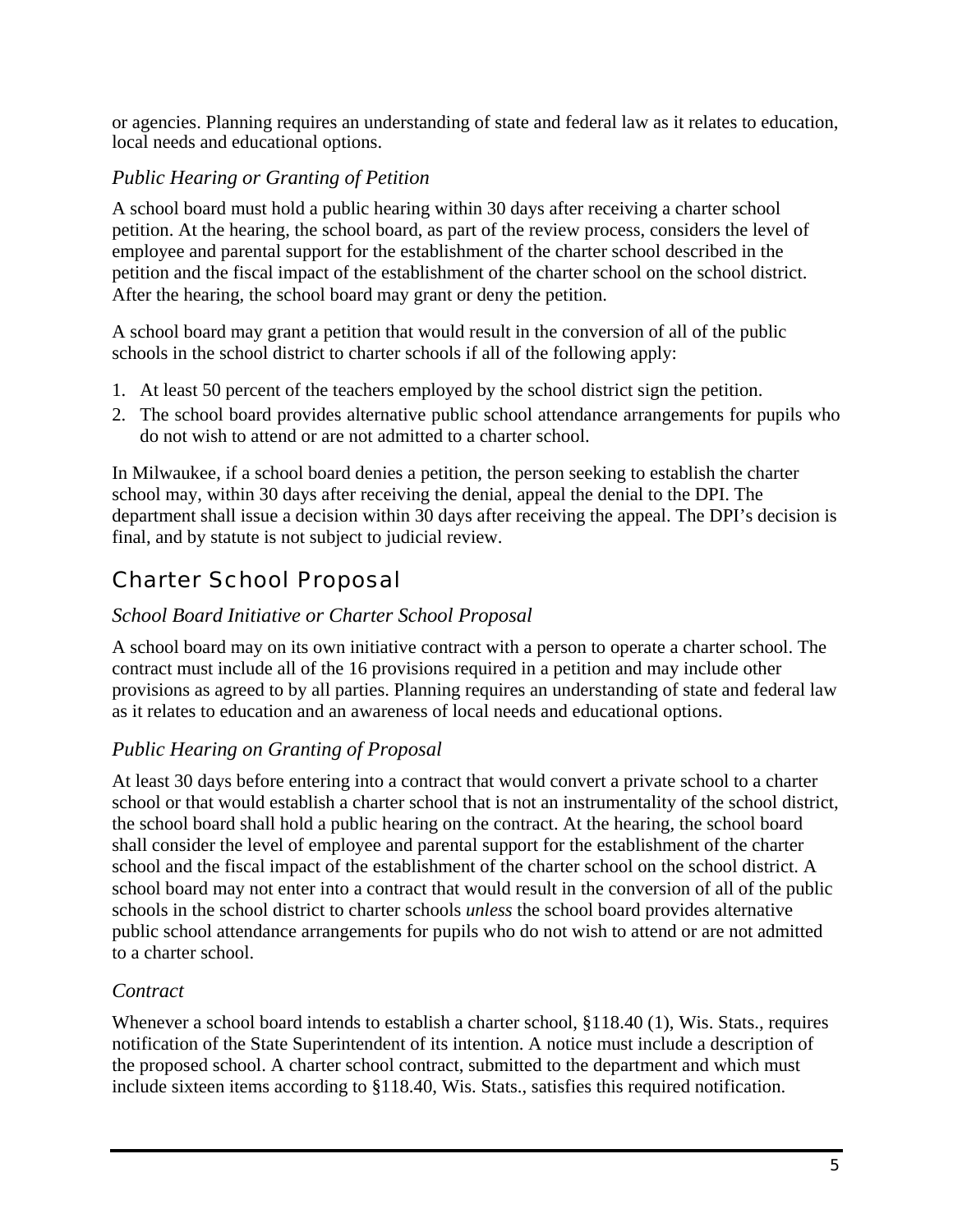or agencies. Planning requires an understanding of state and federal law as it relates to education, local needs and educational options.

### *Public Hearing or Granting of Petition*

A school board must hold a public hearing within 30 days after receiving a charter school petition. At the hearing, the school board, as part of the review process, considers the level of employee and parental support for the establishment of the charter school described in the petition and the fiscal impact of the establishment of the charter school on the school district. After the hearing, the school board may grant or deny the petition.

A school board may grant a petition that would result in the conversion of all of the public schools in the school district to charter schools if all of the following apply:

- 1. At least 50 percent of the teachers employed by the school district sign the petition.
- 2. The school board provides alternative public school attendance arrangements for pupils who do not wish to attend or are not admitted to a charter school.

In Milwaukee, if a school board denies a petition, the person seeking to establish the charter school may, within 30 days after receiving the denial, appeal the denial to the DPI. The department shall issue a decision within 30 days after receiving the appeal. The DPI's decision is final, and by statute is not subject to judicial review.

## Charter School Proposal

### *School Board Initiative or Charter School Proposal*

A school board may on its own initiative contract with a person to operate a charter school. The contract must include all of the 16 provisions required in a petition and may include other provisions as agreed to by all parties. Planning requires an understanding of state and federal law as it relates to education and an awareness of local needs and educational options.

### *Public Hearing on Granting of Proposal*

At least 30 days before entering into a contract that would convert a private school to a charter school or that would establish a charter school that is not an instrumentality of the school district, the school board shall hold a public hearing on the contract. At the hearing, the school board shall consider the level of employee and parental support for the establishment of the charter school and the fiscal impact of the establishment of the charter school on the school district. A school board may not enter into a contract that would result in the conversion of all of the public schools in the school district to charter schools *unless* the school board provides alternative public school attendance arrangements for pupils who do not wish to attend or are not admitted to a charter school.

### *Contract*

Whenever a school board intends to establish a charter school,  $\S118.40$  (1), Wis. Stats., requires notification of the State Superintendent of its intention. A notice must include a description of the proposed school. A charter school contract, submitted to the department and which must include sixteen items according to §118.40, Wis. Stats., satisfies this required notification.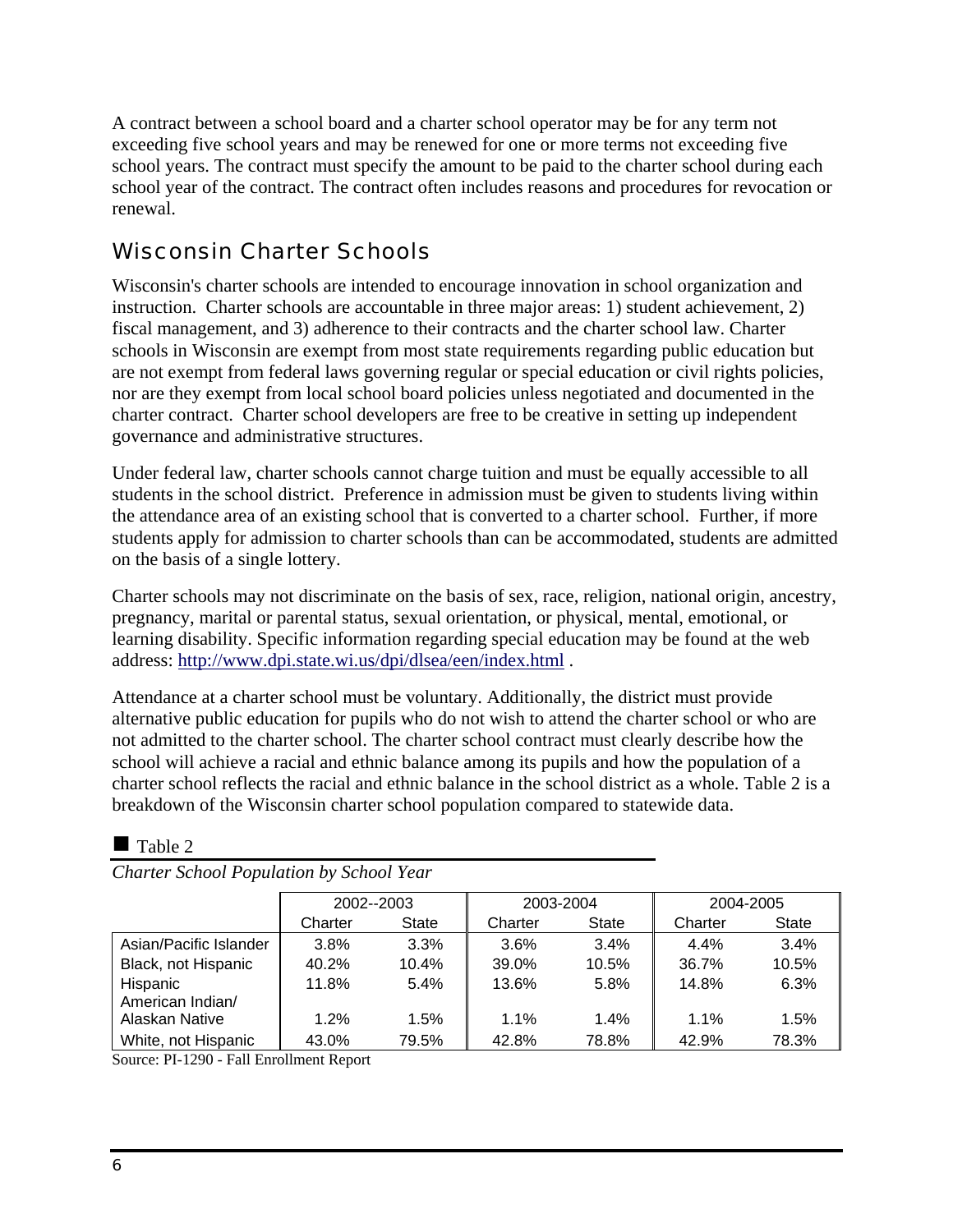A contract between a school board and a charter school operator may be for any term not exceeding five school years and may be renewed for one or more terms not exceeding five school years. The contract must specify the amount to be paid to the charter school during each school year of the contract. The contract often includes reasons and procedures for revocation or renewal.

## Wisconsin Charter Schools

Wisconsin's charter schools are intended to encourage innovation in school organization and instruction. Charter schools are accountable in three major areas: 1) student achievement, 2) fiscal management, and 3) adherence to their contracts and the charter school law. Charter schools in Wisconsin are exempt from most state requirements regarding public education but are not exempt from federal laws governing regular or special education or civil rights policies, nor are they exempt from local school board policies unless negotiated and documented in the charter contract. Charter school developers are free to be creative in setting up independent governance and administrative structures.

Under federal law, charter schools cannot charge tuition and must be equally accessible to all students in the school district. Preference in admission must be given to students living within the attendance area of an existing school that is converted to a charter school. Further, if more students apply for admission to charter schools than can be accommodated, students are admitted on the basis of a single lottery.

Charter schools may not discriminate on the basis of sex, race, religion, national origin, ancestry, pregnancy, marital or parental status, sexual orientation, or physical, mental, emotional, or learning disability. Specific information regarding special education may be found at the web address: http://www.dpi.state.wi.us/dpi/dlsea/een/index.html .

Attendance at a charter school must be voluntary. Additionally, the district must provide alternative public education for pupils who do not wish to attend the charter school or who are not admitted to the charter school. The charter school contract must clearly describe how the school will achieve a racial and ethnic balance among its pupils and how the population of a charter school reflects the racial and ethnic balance in the school district as a whole. Table 2 is a breakdown of the Wisconsin charter school population compared to statewide data.

|                              | 2002--2003 |       | 2003-2004 |              | 2004-2005 |              |
|------------------------------|------------|-------|-----------|--------------|-----------|--------------|
|                              | Charter    | State | Charter   | <b>State</b> | Charter   | <b>State</b> |
| Asian/Pacific Islander       | 3.8%       | 3.3%  | 3.6%      | 3.4%         | 4.4%      | 3.4%         |
| Black, not Hispanic          | 40.2%      | 10.4% | 39.0%     | 10.5%        | 36.7%     | 10.5%        |
| Hispanic<br>American Indian/ | 11.8%      | 5.4%  | 13.6%     | 5.8%         | 14.8%     | 6.3%         |
| Alaskan Native               | 1.2%       | 1.5%  | 1.1%      | 1.4%         | $1.1\%$   | 1.5%         |
| White, not Hispanic          | 43.0%      | 79.5% | 42.8%     | 78.8%        | 42.9%     | 78.3%        |

 $\blacksquare$  Table 2

*Charter School Population by School Year* 

Source: PI-1290 - Fall Enrollment Report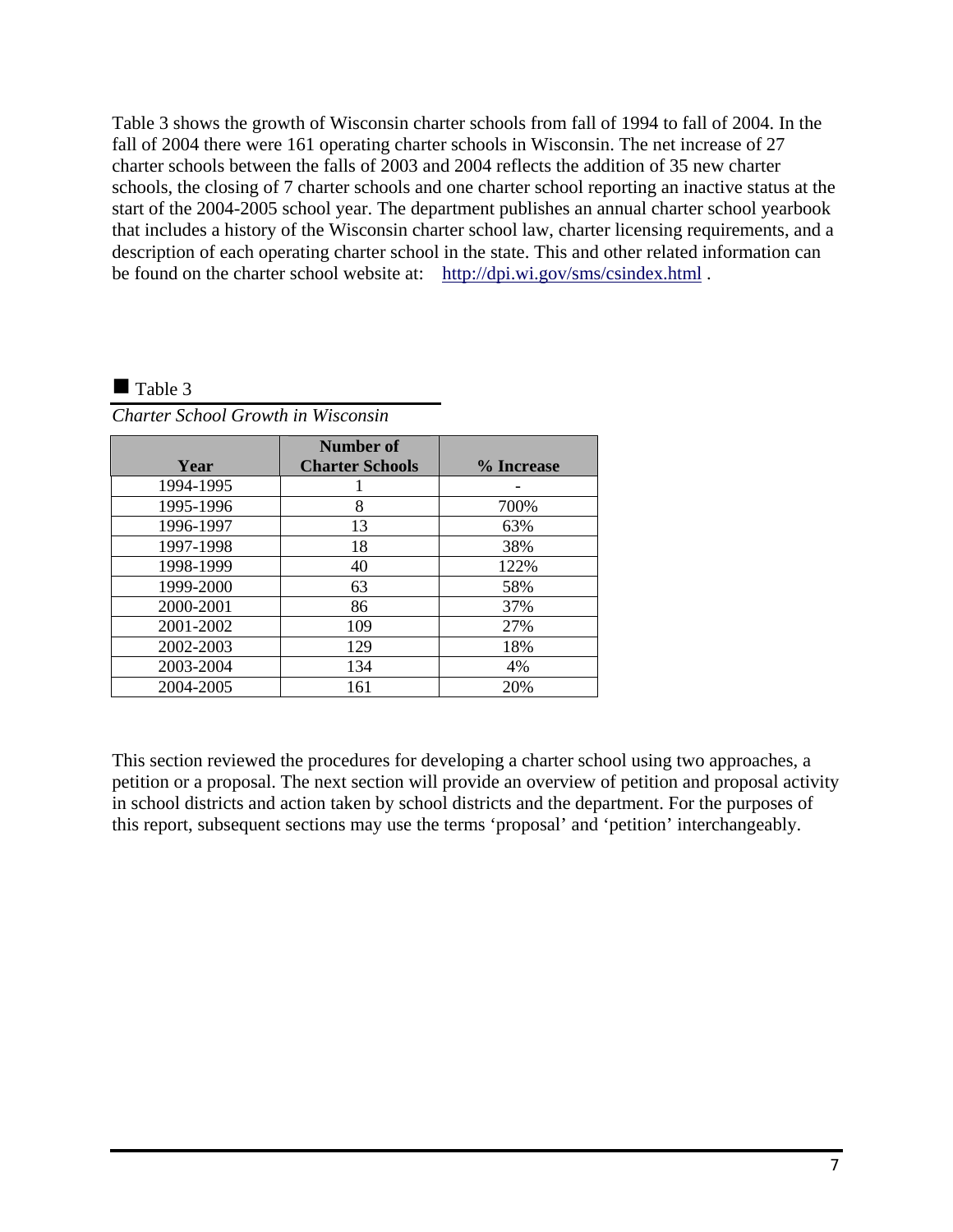Table 3 shows the growth of Wisconsin charter schools from fall of 1994 to fall of 2004. In the fall of 2004 there were 161 operating charter schools in Wisconsin. The net increase of 27 charter schools between the falls of 2003 and 2004 reflects the addition of 35 new charter schools, the closing of 7 charter schools and one charter school reporting an inactive status at the start of the 2004-2005 school year. The department publishes an annual charter school yearbook that includes a history of the Wisconsin charter school law, charter licensing requirements, and a description of each operating charter school in the state. This and other related information can be found on the charter school website at: http://dpi.wi.gov/sms/csindex.html .

#### $\blacksquare$  Table 3

| Charter School Growth in Wisconsin |  |  |
|------------------------------------|--|--|
|------------------------------------|--|--|

|           | Number of              |            |
|-----------|------------------------|------------|
| Year      | <b>Charter Schools</b> | % Increase |
|           |                        |            |
| 1994-1995 |                        |            |
| 1995-1996 | 8                      | 700%       |
| 1996-1997 | 13                     | 63%        |
| 1997-1998 | 18                     | 38%        |
| 1998-1999 | 40                     | 122%       |
| 1999-2000 | 63                     | 58%        |
| 2000-2001 | 86                     | 37%        |
| 2001-2002 | 109                    | 27%        |
| 2002-2003 | 129                    | 18%        |
| 2003-2004 | 134                    | 4%         |
| 2004-2005 | 161                    | 20%        |

This section reviewed the procedures for developing a charter school using two approaches, a petition or a proposal. The next section will provide an overview of petition and proposal activity in school districts and action taken by school districts and the department. For the purposes of this report, subsequent sections may use the terms 'proposal' and 'petition' interchangeably.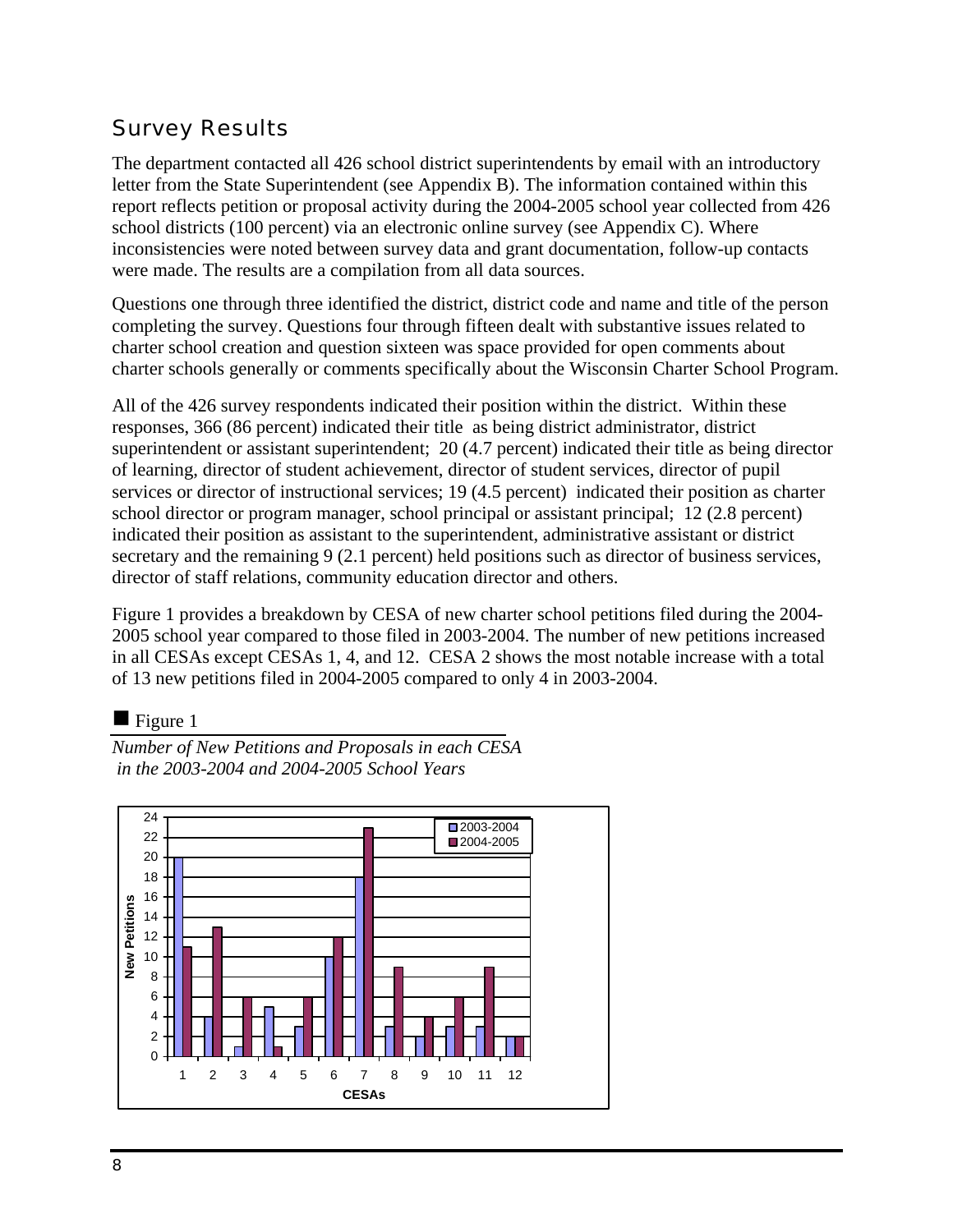## Survey Results

The department contacted all 426 school district superintendents by email with an introductory letter from the State Superintendent (see Appendix B). The information contained within this report reflects petition or proposal activity during the 2004-2005 school year collected from 426 school districts (100 percent) via an electronic online survey (see Appendix C). Where inconsistencies were noted between survey data and grant documentation, follow-up contacts were made. The results are a compilation from all data sources.

Questions one through three identified the district, district code and name and title of the person completing the survey. Questions four through fifteen dealt with substantive issues related to charter school creation and question sixteen was space provided for open comments about charter schools generally or comments specifically about the Wisconsin Charter School Program.

All of the 426 survey respondents indicated their position within the district. Within these responses, 366 (86 percent) indicated their title as being district administrator, district superintendent or assistant superintendent; 20 (4.7 percent) indicated their title as being director of learning, director of student achievement, director of student services, director of pupil services or director of instructional services; 19 (4.5 percent) indicated their position as charter school director or program manager, school principal or assistant principal; 12 (2.8 percent) indicated their position as assistant to the superintendent, administrative assistant or district secretary and the remaining 9 (2.1 percent) held positions such as director of business services, director of staff relations, community education director and others.

Figure 1 provides a breakdown by CESA of new charter school petitions filed during the 2004- 2005 school year compared to those filed in 2003-2004. The number of new petitions increased in all CESAs except CESAs 1, 4, and 12. CESA 2 shows the most notable increase with a total of 13 new petitions filed in 2004-2005 compared to only 4 in 2003-2004.

### $\blacksquare$  Figure 1

*Number of New Petitions and Proposals in each CESA in the 2003-2004 and 2004-2005 School Years* 

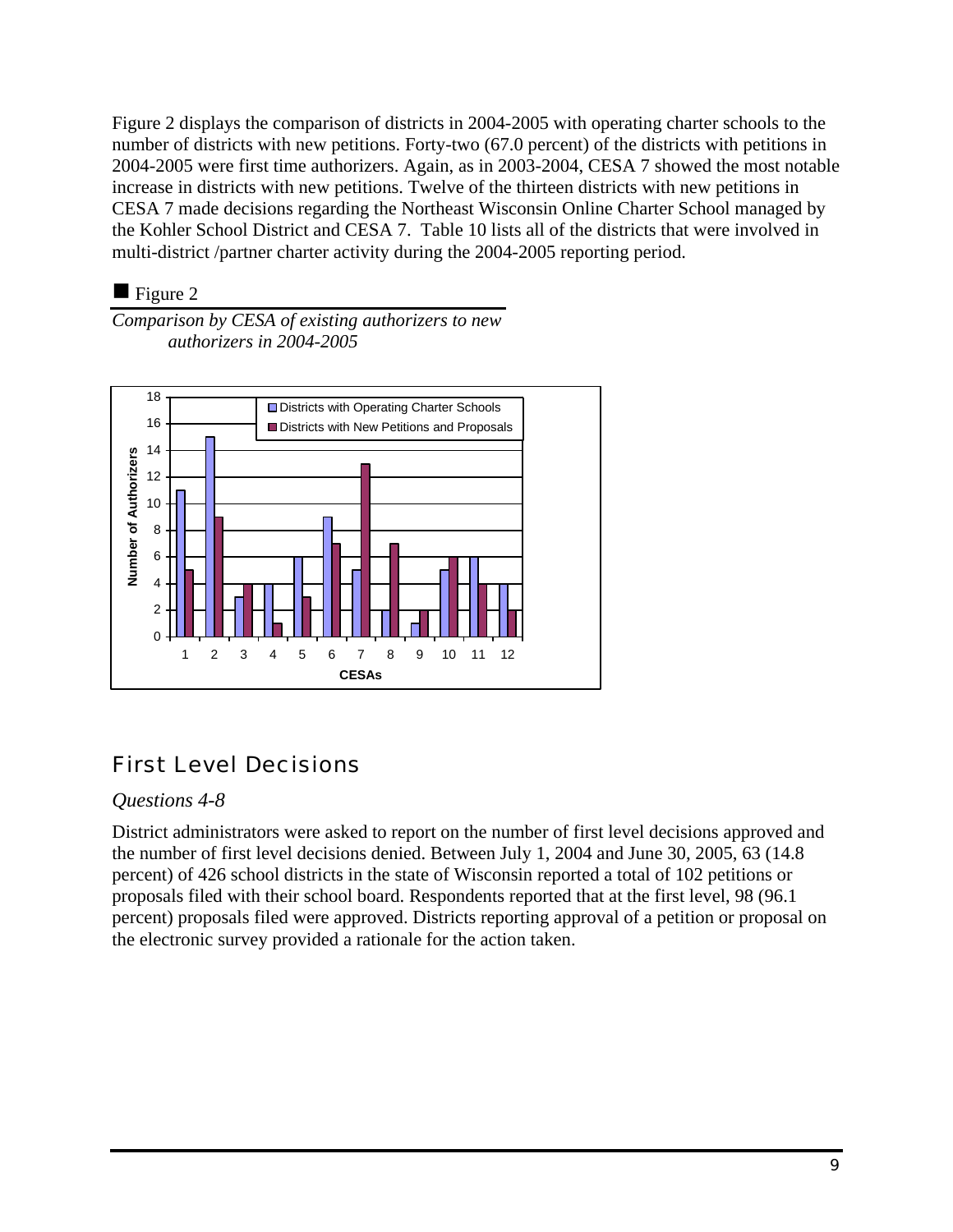Figure 2 displays the comparison of districts in 2004-2005 with operating charter schools to the number of districts with new petitions. Forty-two (67.0 percent) of the districts with petitions in 2004-2005 were first time authorizers. Again, as in 2003-2004, CESA 7 showed the most notable increase in districts with new petitions. Twelve of the thirteen districts with new petitions in CESA 7 made decisions regarding the Northeast Wisconsin Online Charter School managed by the Kohler School District and CESA 7. Table 10 lists all of the districts that were involved in multi-district /partner charter activity during the 2004-2005 reporting period.

### $\blacksquare$  Figure 2

*Comparison by CESA of existing authorizers to new authorizers in 2004-2005* 



## First Level Decisions

### *Questions 4-8*

District administrators were asked to report on the number of first level decisions approved and the number of first level decisions denied. Between July 1, 2004 and June 30, 2005, 63 (14.8 percent) of 426 school districts in the state of Wisconsin reported a total of 102 petitions or proposals filed with their school board. Respondents reported that at the first level, 98 (96.1 percent) proposals filed were approved. Districts reporting approval of a petition or proposal on the electronic survey provided a rationale for the action taken.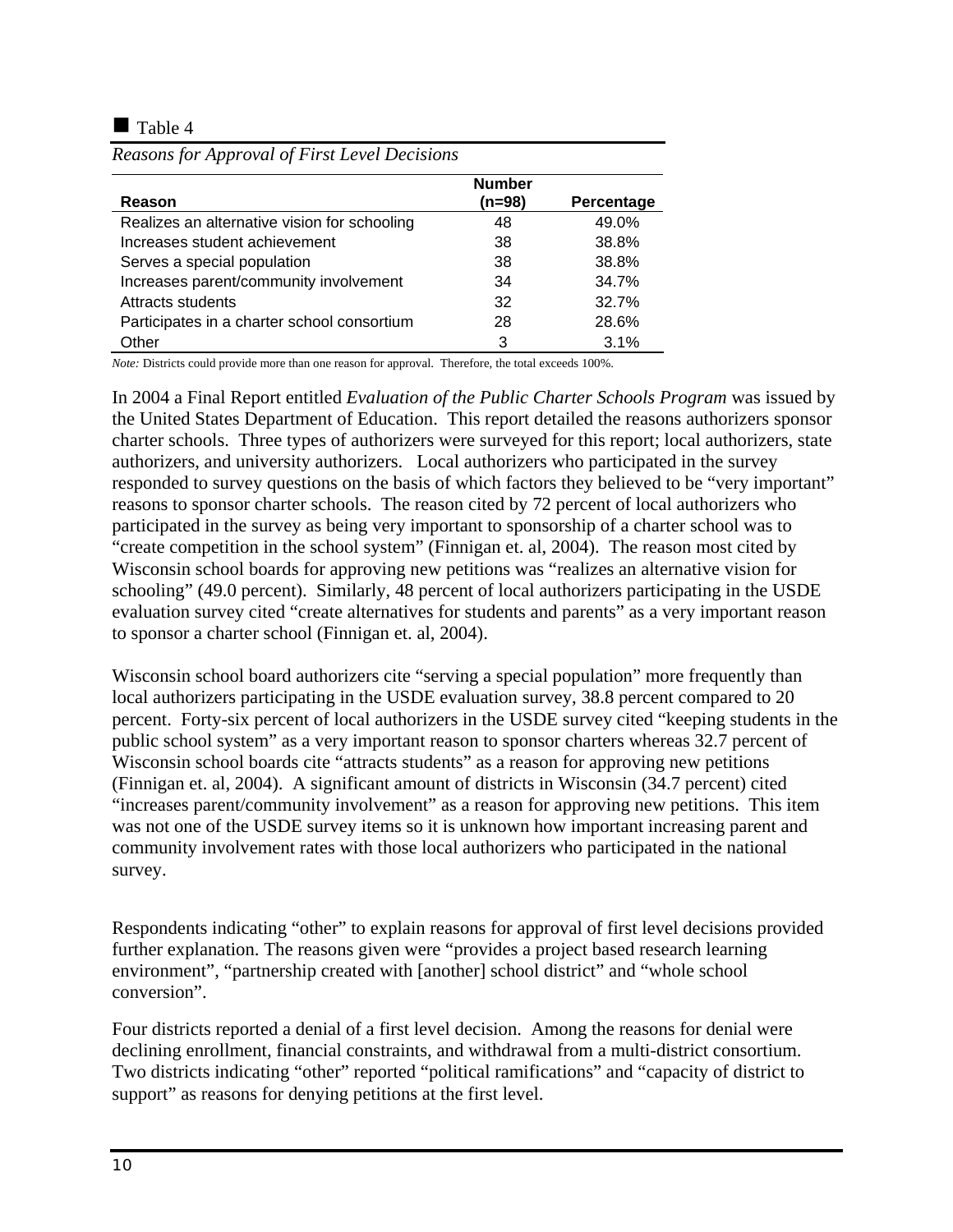$\blacksquare$  Table 4

|                                              | <b>Number</b> |            |
|----------------------------------------------|---------------|------------|
| Reason                                       | (n=98)        | Percentage |
| Realizes an alternative vision for schooling | 48            | 49.0%      |
| Increases student achievement                | 38            | 38.8%      |
| Serves a special population                  | 38            | 38.8%      |
| Increases parent/community involvement       | 34            | 34.7%      |
| Attracts students                            | 32            | 32.7%      |
| Participates in a charter school consortium  | 28            | 28.6%      |
| Other                                        | 3             | 3.1%       |

*Reasons for Approval of First Level Decisions* 

*Note:* Districts could provide more than one reason for approval. Therefore, the total exceeds 100%.

In 2004 a Final Report entitled *Evaluation of the Public Charter Schools Program* was issued by the United States Department of Education. This report detailed the reasons authorizers sponsor charter schools. Three types of authorizers were surveyed for this report; local authorizers, state authorizers, and university authorizers. Local authorizers who participated in the survey responded to survey questions on the basis of which factors they believed to be "very important" reasons to sponsor charter schools. The reason cited by 72 percent of local authorizers who participated in the survey as being very important to sponsorship of a charter school was to "create competition in the school system" (Finnigan et. al, 2004). The reason most cited by Wisconsin school boards for approving new petitions was "realizes an alternative vision for schooling" (49.0 percent). Similarly, 48 percent of local authorizers participating in the USDE evaluation survey cited "create alternatives for students and parents" as a very important reason to sponsor a charter school (Finnigan et. al, 2004).

Wisconsin school board authorizers cite "serving a special population" more frequently than local authorizers participating in the USDE evaluation survey, 38.8 percent compared to 20 percent. Forty-six percent of local authorizers in the USDE survey cited "keeping students in the public school system" as a very important reason to sponsor charters whereas 32.7 percent of Wisconsin school boards cite "attracts students" as a reason for approving new petitions (Finnigan et. al, 2004). A significant amount of districts in Wisconsin (34.7 percent) cited "increases parent/community involvement" as a reason for approving new petitions. This item was not one of the USDE survey items so it is unknown how important increasing parent and community involvement rates with those local authorizers who participated in the national survey.

Respondents indicating "other" to explain reasons for approval of first level decisions provided further explanation. The reasons given were "provides a project based research learning environment", "partnership created with [another] school district" and "whole school conversion".

Four districts reported a denial of a first level decision. Among the reasons for denial were declining enrollment, financial constraints, and withdrawal from a multi-district consortium. Two districts indicating "other" reported "political ramifications" and "capacity of district to support" as reasons for denying petitions at the first level.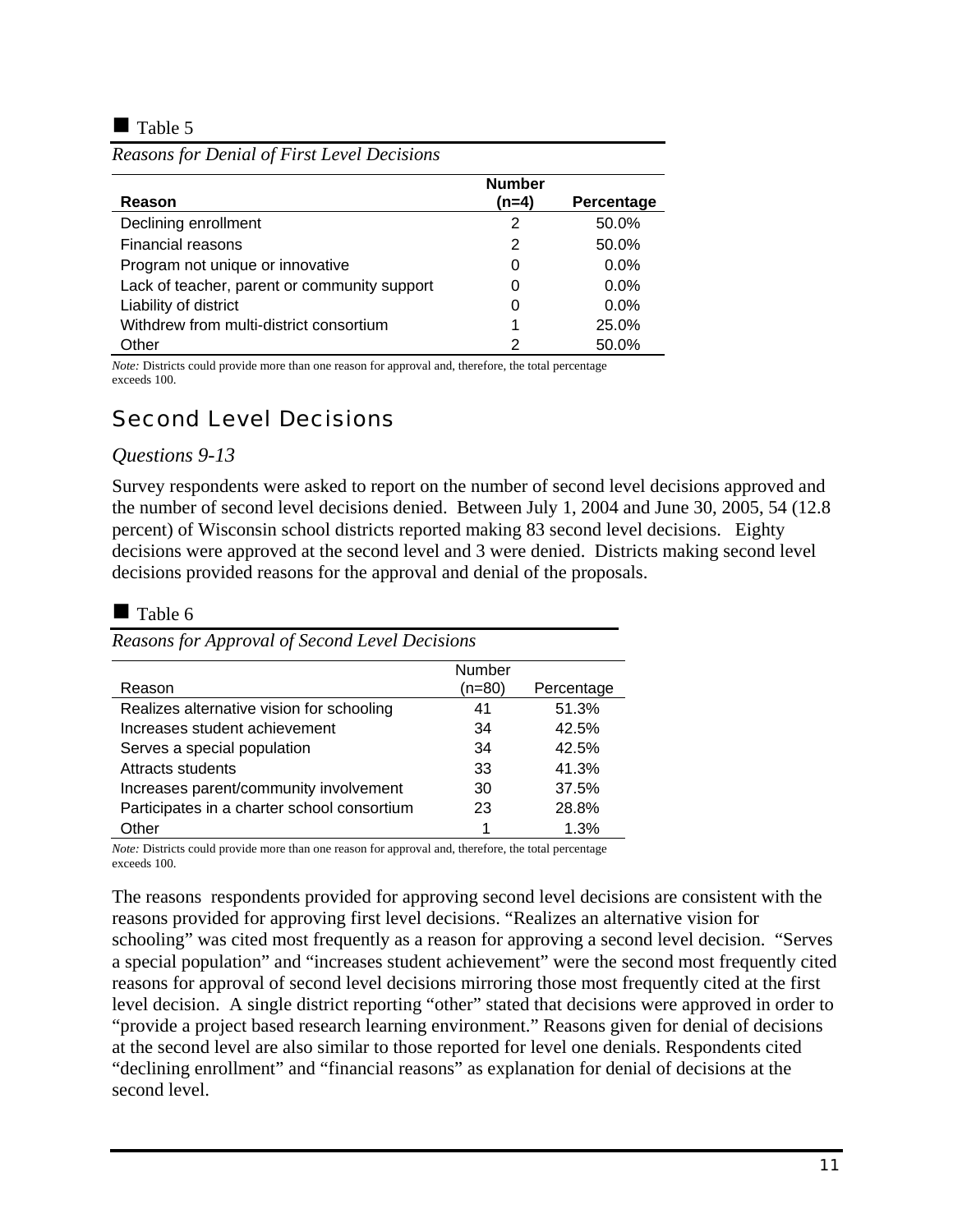$\blacksquare$  Table 5

|                                              | <b>Number</b> |            |
|----------------------------------------------|---------------|------------|
| Reason                                       | (n=4)         | Percentage |
| Declining enrollment                         | 2             | 50.0%      |
| Financial reasons                            | 2             | 50.0%      |
| Program not unique or innovative             | 0             | $0.0\%$    |
| Lack of teacher, parent or community support | 0             | $0.0\%$    |
| Liability of district                        | 0             | $0.0\%$    |
| Withdrew from multi-district consortium      | 1             | 25.0%      |
| Other                                        | 2             | 50.0%      |

*Reasons for Denial of First Level Decisions* 

*Note:* Districts could provide more than one reason for approval and, therefore, the total percentage exceeds 100.

## Second Level Decisions

#### *Questions 9-13*

Survey respondents were asked to report on the number of second level decisions approved and the number of second level decisions denied. Between July 1, 2004 and June 30, 2005, 54 (12.8 percent) of Wisconsin school districts reported making 83 second level decisions. Eighty decisions were approved at the second level and 3 were denied. Districts making second level decisions provided reasons for the approval and denial of the proposals.

#### $\blacksquare$  Table 6

*Reasons for Approval of Second Level Decisions* 

|                                             | Number   |            |
|---------------------------------------------|----------|------------|
| Reason                                      | $(n=80)$ | Percentage |
| Realizes alternative vision for schooling   | 41       | 51.3%      |
| Increases student achievement               | 34       | 42.5%      |
| Serves a special population                 | 34       | 42.5%      |
| Attracts students                           | 33       | 41.3%      |
| Increases parent/community involvement      | 30       | 37.5%      |
| Participates in a charter school consortium | 23       | 28.8%      |
| Other                                       | 1        | 1.3%       |

*Note:* Districts could provide more than one reason for approval and, therefore, the total percentage exceeds 100.

The reasons respondents provided for approving second level decisions are consistent with the reasons provided for approving first level decisions. "Realizes an alternative vision for schooling" was cited most frequently as a reason for approving a second level decision. "Serves a special population" and "increases student achievement" were the second most frequently cited reasons for approval of second level decisions mirroring those most frequently cited at the first level decision. A single district reporting "other" stated that decisions were approved in order to "provide a project based research learning environment." Reasons given for denial of decisions at the second level are also similar to those reported for level one denials. Respondents cited "declining enrollment" and "financial reasons" as explanation for denial of decisions at the second level.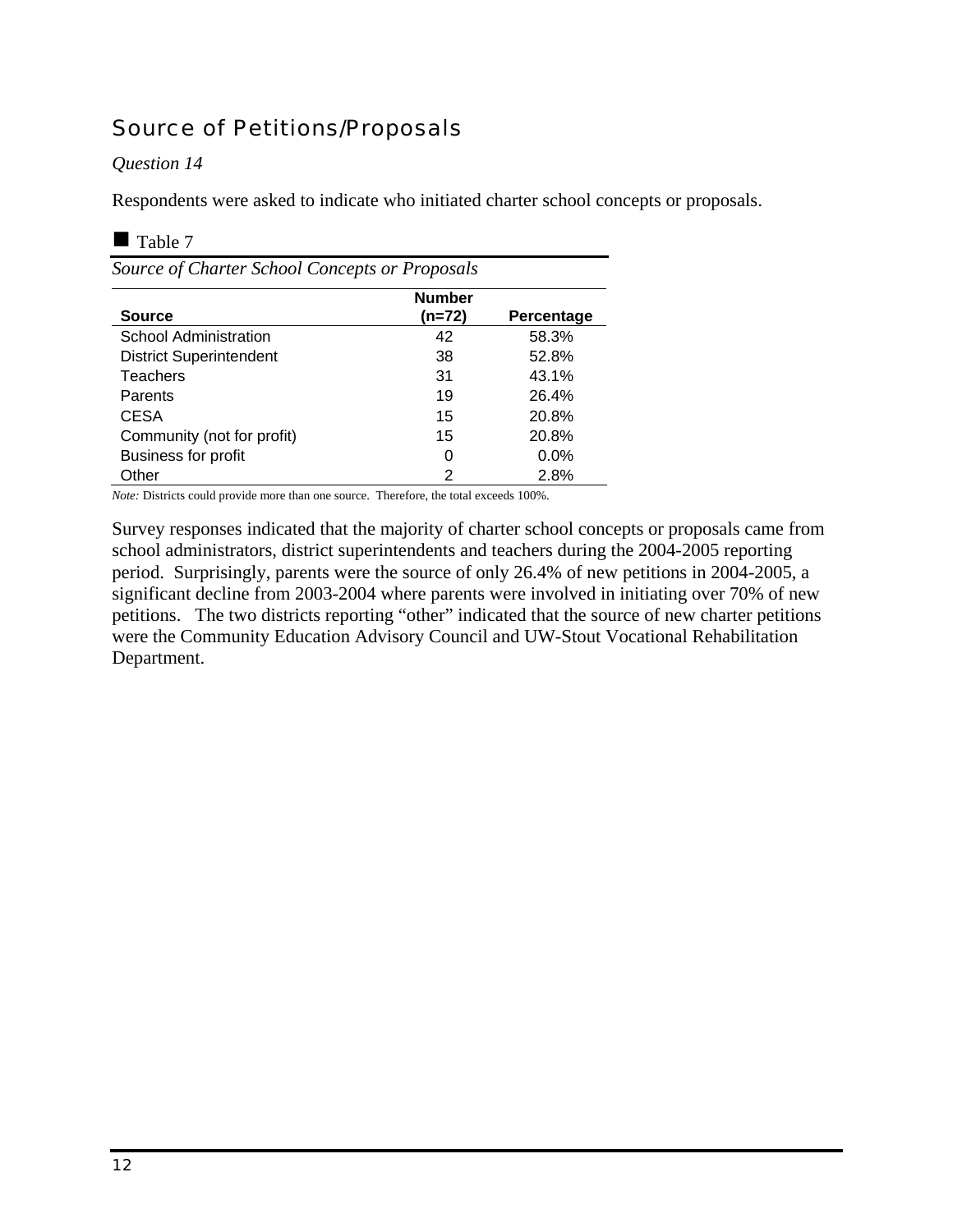## Source of Petitions/Proposals

#### *Question 14*

Respondents were asked to indicate who initiated charter school concepts or proposals.

#### Table 7

| Source of Charter School Concepts or Proposals |               |            |  |  |
|------------------------------------------------|---------------|------------|--|--|
|                                                | <b>Number</b> |            |  |  |
| <b>Source</b>                                  | (n=72)        | Percentage |  |  |
| <b>School Administration</b>                   | 42            | 58.3%      |  |  |
| <b>District Superintendent</b>                 | 38            | 52.8%      |  |  |
| <b>Teachers</b>                                | 31            | 43.1%      |  |  |
| Parents                                        | 19            | 26.4%      |  |  |
| <b>CESA</b>                                    | 15            | 20.8%      |  |  |
| Community (not for profit)                     | 15            | 20.8%      |  |  |
| <b>Business for profit</b>                     | 0             | 0.0%       |  |  |
| Other                                          | 2             | 2.8%       |  |  |

*Note:* Districts could provide more than one source. Therefore, the total exceeds 100%.

Survey responses indicated that the majority of charter school concepts or proposals came from school administrators, district superintendents and teachers during the 2004-2005 reporting period. Surprisingly, parents were the source of only 26.4% of new petitions in 2004-2005, a significant decline from 2003-2004 where parents were involved in initiating over 70% of new petitions. The two districts reporting "other" indicated that the source of new charter petitions were the Community Education Advisory Council and UW-Stout Vocational Rehabilitation Department.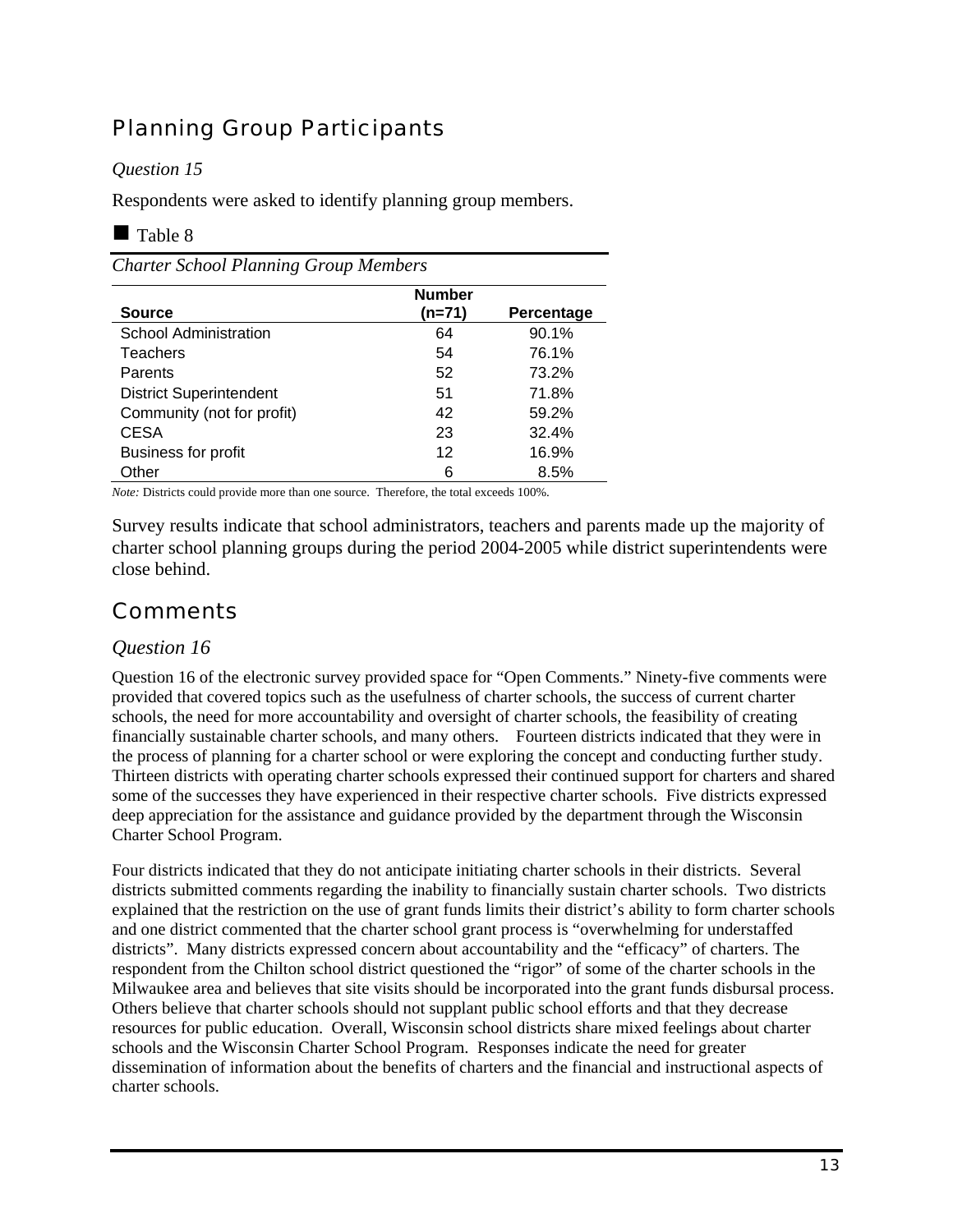## Planning Group Participants

### *Question 15*

Respondents were asked to identify planning group members.

### Table 8

*Charter School Planning Group Members* 

|                                | <b>Number</b> |            |
|--------------------------------|---------------|------------|
| <b>Source</b>                  | $(n=71)$      | Percentage |
| <b>School Administration</b>   | 64            | 90.1%      |
| <b>Teachers</b>                | 54            | 76.1%      |
| Parents                        | 52            | 73.2%      |
| <b>District Superintendent</b> | 51            | 71.8%      |
| Community (not for profit)     | 42            | 59.2%      |
| <b>CESA</b>                    | 23            | 32.4%      |
| <b>Business for profit</b>     | 12            | 16.9%      |
| Other                          | 6             | 8.5%       |

*Note:* Districts could provide more than one source. Therefore, the total exceeds 100%.

Survey results indicate that school administrators, teachers and parents made up the majority of charter school planning groups during the period 2004-2005 while district superintendents were close behind.

## **Comments**

### *Question 16*

Question 16 of the electronic survey provided space for "Open Comments." Ninety-five comments were provided that covered topics such as the usefulness of charter schools, the success of current charter schools, the need for more accountability and oversight of charter schools, the feasibility of creating financially sustainable charter schools, and many others. Fourteen districts indicated that they were in the process of planning for a charter school or were exploring the concept and conducting further study. Thirteen districts with operating charter schools expressed their continued support for charters and shared some of the successes they have experienced in their respective charter schools. Five districts expressed deep appreciation for the assistance and guidance provided by the department through the Wisconsin Charter School Program.

Four districts indicated that they do not anticipate initiating charter schools in their districts. Several districts submitted comments regarding the inability to financially sustain charter schools. Two districts explained that the restriction on the use of grant funds limits their district's ability to form charter schools and one district commented that the charter school grant process is "overwhelming for understaffed districts". Many districts expressed concern about accountability and the "efficacy" of charters. The respondent from the Chilton school district questioned the "rigor" of some of the charter schools in the Milwaukee area and believes that site visits should be incorporated into the grant funds disbursal process. Others believe that charter schools should not supplant public school efforts and that they decrease resources for public education. Overall, Wisconsin school districts share mixed feelings about charter schools and the Wisconsin Charter School Program. Responses indicate the need for greater dissemination of information about the benefits of charters and the financial and instructional aspects of charter schools.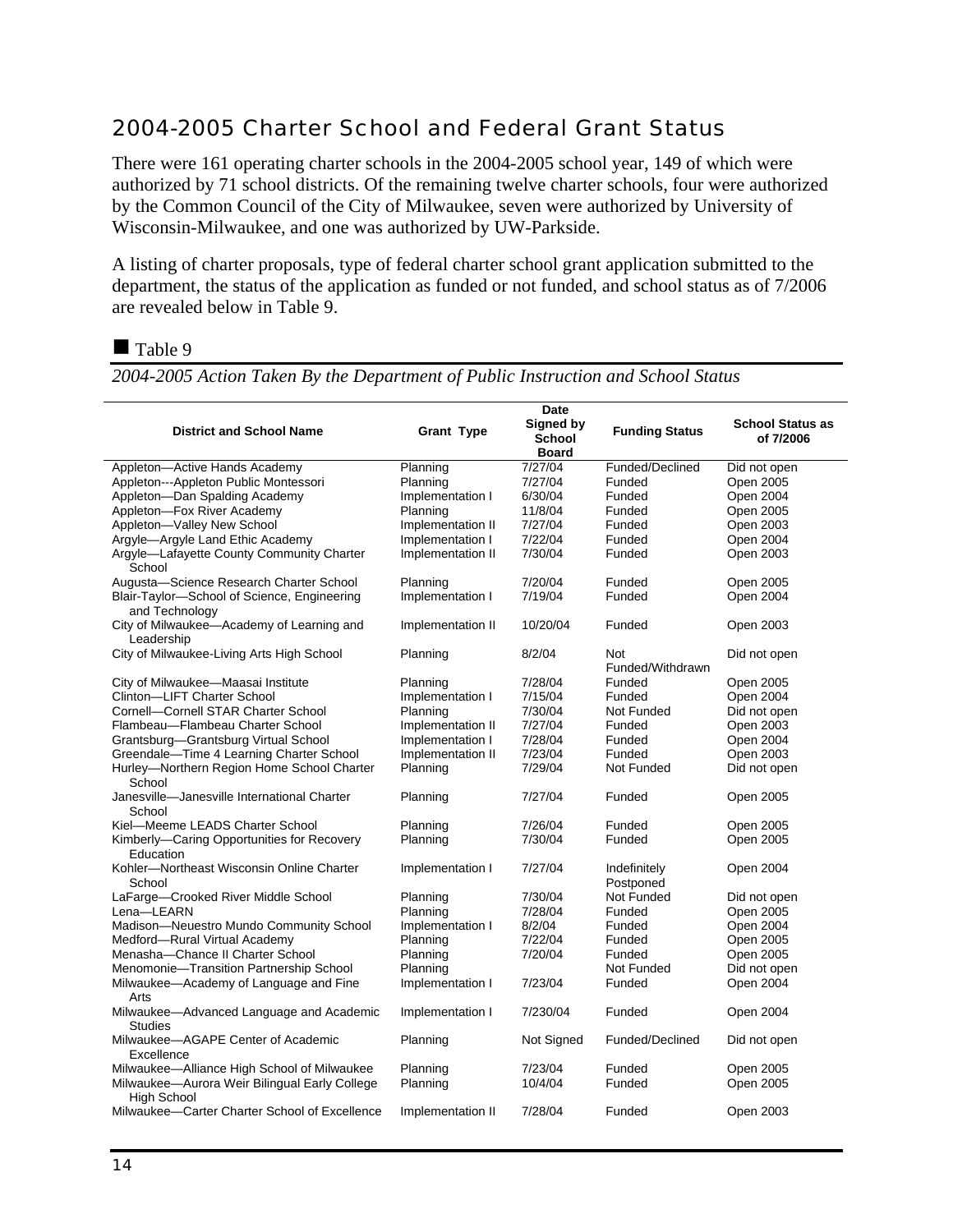## 2004-2005 Charter School and Federal Grant Status

There were 161 operating charter schools in the 2004-2005 school year, 149 of which were authorized by 71 school districts. Of the remaining twelve charter schools, four were authorized by the Common Council of the City of Milwaukee, seven were authorized by University of Wisconsin-Milwaukee, and one was authorized by UW-Parkside.

A listing of charter proposals, type of federal charter school grant application submitted to the department, the status of the application as funded or not funded, and school status as of 7/2006 are revealed below in Table 9.

Table 9

*2004-2005 Action Taken By the Department of Public Instruction and School Status* 

|                                                                     |                   | <b>Date</b>                                |                           |                                      |
|---------------------------------------------------------------------|-------------------|--------------------------------------------|---------------------------|--------------------------------------|
| <b>District and School Name</b>                                     | <b>Grant Type</b> | Signed by<br><b>School</b><br><b>Board</b> | <b>Funding Status</b>     | <b>School Status as</b><br>of 7/2006 |
| Appleton-Active Hands Academy                                       | Planning          | 7/27/04                                    | Funded/Declined           | Did not open                         |
| Appleton---Appleton Public Montessori                               | Planning          | 7/27/04                                    | Funded                    | Open 2005                            |
| Appleton-Dan Spalding Academy                                       | Implementation I  | 6/30/04                                    | Funded                    | Open 2004                            |
| Appleton-Fox River Academy                                          | Planning          | 11/8/04                                    | Funded                    | Open 2005                            |
| Appleton-Valley New School                                          | Implementation II | 7/27/04                                    | Funded                    | Open 2003                            |
| Argyle-Argyle Land Ethic Academy                                    | Implementation I  | 7/22/04                                    | Funded                    | Open 2004                            |
| Argyle-Lafayette County Community Charter<br>School                 | Implementation II | 7/30/04                                    | Funded                    | Open 2003                            |
| Augusta-Science Research Charter School                             | Planning          | 7/20/04                                    | Funded                    | Open 2005                            |
| Blair-Taylor-School of Science, Engineering<br>and Technology       | Implementation I  | 7/19/04                                    | Funded                    | Open 2004                            |
| City of Milwaukee-Academy of Learning and<br>Leadership             | Implementation II | 10/20/04                                   | Funded                    | Open 2003                            |
| City of Milwaukee-Living Arts High School                           | Planning          | 8/2/04                                     | Not<br>Funded/Withdrawn   | Did not open                         |
| City of Milwaukee-Maasai Institute                                  | Planning          | 7/28/04                                    | Funded                    | Open 2005                            |
| Clinton-LIFT Charter School                                         | Implementation I  | 7/15/04                                    | Funded                    | Open 2004                            |
| Cornell-Cornell STAR Charter School                                 | Planning          | 7/30/04                                    | Not Funded                | Did not open                         |
| Flambeau-Flambeau Charter School                                    | Implementation II | 7/27/04                                    | Funded                    | Open 2003                            |
| Grantsburg-Grantsburg Virtual School                                | Implementation I  | 7/28/04                                    | Funded                    | Open 2004                            |
| Greendale-Time 4 Learning Charter School                            | Implementation II | 7/23/04                                    | Funded                    | Open 2003                            |
| Hurley-Northern Region Home School Charter<br>School                | Planning          | 7/29/04                                    | Not Funded                | Did not open                         |
| Janesville-Janesville International Charter<br>School               | Planning          | 7/27/04                                    | Funded                    | Open 2005                            |
| Kiel-Meeme LEADS Charter School                                     | Planning          | 7/26/04                                    | Funded                    | Open 2005                            |
| Kimberly—Caring Opportunities for Recovery<br>Education             | Planning          | 7/30/04                                    | Funded                    | Open 2005                            |
| Kohler-Northeast Wisconsin Online Charter<br>School                 | Implementation I  | 7/27/04                                    | Indefinitely<br>Postponed | Open 2004                            |
| LaFarge-Crooked River Middle School                                 | Planning          | 7/30/04                                    | Not Funded                | Did not open                         |
| Lena-LEARN                                                          | Planning          | 7/28/04                                    | Funded                    | Open 2005                            |
| Madison-Neuestro Mundo Community School                             | Implementation I  | 8/2/04                                     | Funded                    | Open 2004                            |
| Medford-Rural Virtual Academy                                       | Planning          | 7/22/04                                    | Funded                    | Open 2005                            |
| Menasha-Chance II Charter School                                    | Planning          | 7/20/04                                    | Funded                    | Open 2005                            |
| Menomonie-Transition Partnership School                             | Planning          |                                            | Not Funded                | Did not open                         |
| Milwaukee-Academy of Language and Fine<br>Arts                      | Implementation I  | 7/23/04                                    | Funded                    | Open 2004                            |
| Milwaukee-Advanced Language and Academic<br>Studies                 | Implementation I  | 7/230/04                                   | Funded                    | Open 2004                            |
| Milwaukee-AGAPE Center of Academic<br>Excellence                    | Planning          | Not Signed                                 | Funded/Declined           | Did not open                         |
| Milwaukee—Alliance High School of Milwaukee                         | Planning          | 7/23/04                                    | Funded                    | Open 2005                            |
| Milwaukee-Aurora Weir Bilingual Early College<br><b>High School</b> | Planning          | 10/4/04                                    | Funded                    | Open 2005                            |
| Milwaukee-Carter Charter School of Excellence                       | Implementation II | 7/28/04                                    | Funded                    | Open 2003                            |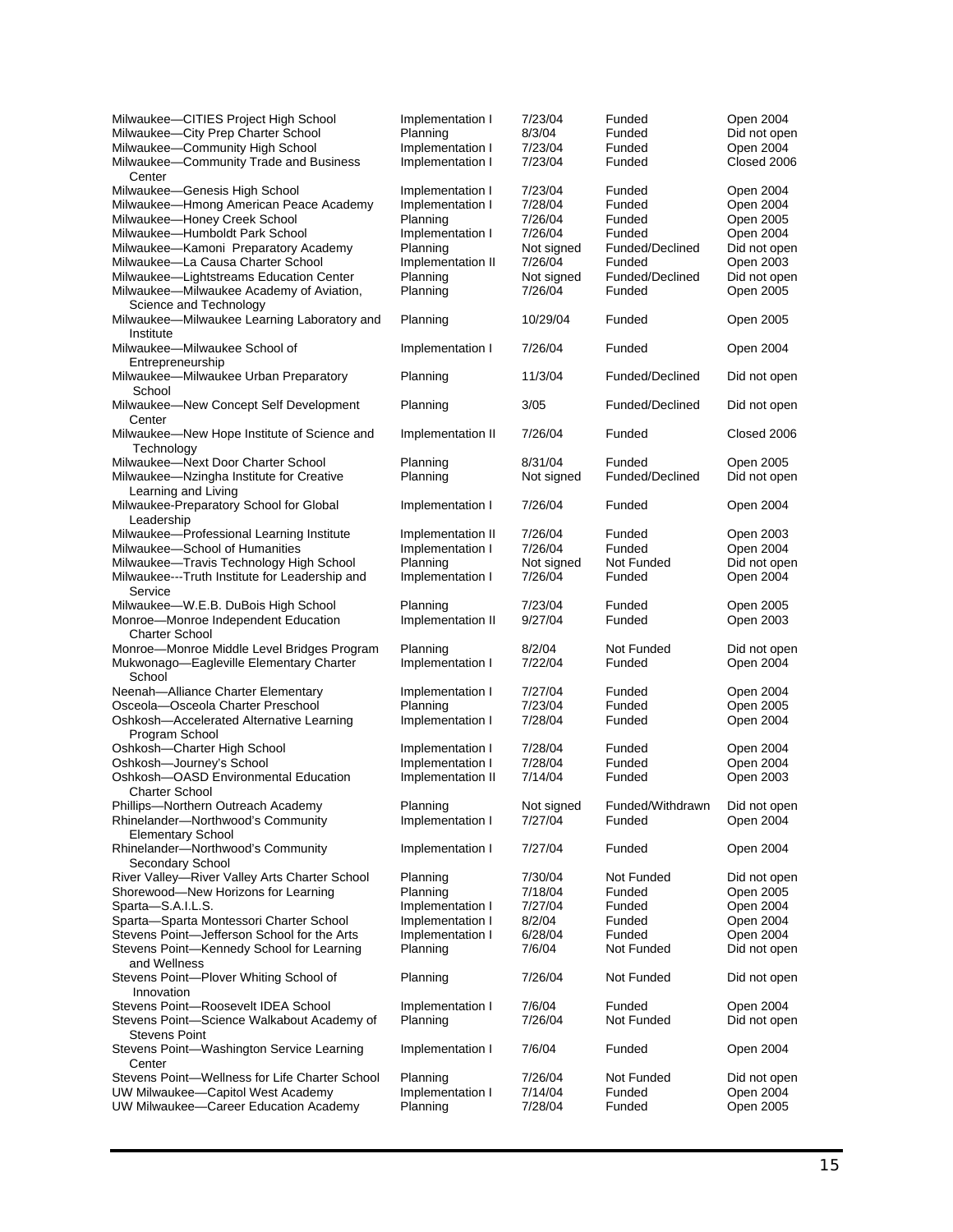| Milwaukee-CITIES Project High School                                  | Implementation I             | 7/23/04           | Funded           | Open 2004                 |
|-----------------------------------------------------------------------|------------------------------|-------------------|------------------|---------------------------|
| Milwaukee-City Prep Charter School<br>Milwaukee-Community High School | Planning<br>Implementation I | 8/3/04<br>7/23/04 | Funded<br>Funded | Did not open<br>Open 2004 |
| Milwaukee-Community Trade and Business                                | Implementation I             | 7/23/04           | Funded           | Closed 2006               |
| Center                                                                |                              |                   |                  |                           |
| Milwaukee-Genesis High School                                         | Implementation I             | 7/23/04           | Funded           | Open 2004                 |
| Milwaukee-Hmong American Peace Academy                                | Implementation I             | 7/28/04           | Funded           | Open 2004                 |
| Milwaukee-Honey Creek School                                          | Planning                     | 7/26/04           | Funded           | Open 2005                 |
| Milwaukee-Humboldt Park School                                        | Implementation I             | 7/26/04           | Funded           | Open 2004                 |
| Milwaukee-Kamoni Preparatory Academy                                  | Planning                     | Not signed        | Funded/Declined  | Did not open              |
| Milwaukee-La Causa Charter School                                     | Implementation II            | 7/26/04           | Funded           | Open 2003                 |
| Milwaukee-Lightstreams Education Center                               | Planning                     | Not signed        | Funded/Declined  | Did not open              |
| Milwaukee-Milwaukee Academy of Aviation,<br>Science and Technology    | Planning                     | 7/26/04           | Funded           | Open 2005                 |
| Milwaukee-Milwaukee Learning Laboratory and                           | Planning                     | 10/29/04          | Funded           | Open 2005                 |
| Institute                                                             |                              |                   |                  |                           |
| Milwaukee-Milwaukee School of                                         | Implementation I             | 7/26/04           | Funded           | Open 2004                 |
| Entrepreneurship                                                      |                              |                   |                  |                           |
| Milwaukee-Milwaukee Urban Preparatory                                 | Planning                     | 11/3/04           | Funded/Declined  | Did not open              |
| School                                                                |                              |                   |                  |                           |
| Milwaukee-New Concept Self Development                                | Planning                     | 3/05              | Funded/Declined  | Did not open              |
| Center                                                                |                              |                   |                  |                           |
| Milwaukee-New Hope Institute of Science and                           | Implementation II            | 7/26/04           | Funded           | Closed 2006               |
| Technology                                                            |                              |                   |                  |                           |
| Milwaukee-Next Door Charter School                                    | Planning                     | 8/31/04           | Funded           | Open 2005                 |
| Milwaukee-Nzingha Institute for Creative                              | Planning                     | Not signed        | Funded/Declined  | Did not open              |
| Learning and Living                                                   |                              |                   |                  |                           |
| Milwaukee-Preparatory School for Global                               | Implementation I             | 7/26/04           | Funded           | Open 2004                 |
| Leadership                                                            |                              |                   |                  |                           |
| Milwaukee-Professional Learning Institute                             | Implementation II            | 7/26/04           | Funded           | Open 2003                 |
| Milwaukee-School of Humanities                                        | Implementation I             | 7/26/04           | Funded           | Open 2004                 |
| Milwaukee-Travis Technology High School                               | Planning                     | Not signed        | Not Funded       | Did not open              |
| Milwaukee---Truth Institute for Leadership and                        | Implementation I             | 7/26/04           | Funded           | Open 2004                 |
| Service                                                               |                              |                   |                  |                           |
| Milwaukee-W.E.B. DuBois High School                                   | Planning                     | 7/23/04           | Funded           | Open 2005                 |
| Monroe-Monroe Independent Education                                   | Implementation II            | 9/27/04           | Funded           | Open 2003                 |
| <b>Charter School</b>                                                 |                              |                   |                  |                           |
| Monroe-Monroe Middle Level Bridges Program                            | Planning                     | 8/2/04            | Not Funded       | Did not open              |
| Mukwonago-Eagleville Elementary Charter                               | Implementation I             | 7/22/04           | Funded           | Open 2004                 |
| School                                                                |                              |                   |                  |                           |
| Neenah-Alliance Charter Elementary                                    | Implementation I             | 7/27/04           | Funded           | Open 2004                 |
| Osceola-Osceola Charter Preschool                                     | Planning                     | 7/23/04           | Funded           | Open 2005                 |
| Oshkosh-Accelerated Alternative Learning                              | Implementation I             | 7/28/04           | Funded           | Open 2004                 |
| Program School                                                        |                              |                   |                  |                           |
| Oshkosh-Charter High School                                           | Implementation I             | 7/28/04           | Funded           | Open 2004                 |
| Oshkosh-Journey's School                                              | Implementation I             | 7/28/04           | Funded           | Open 2004                 |
| Oshkosh-OASD Environmental Education                                  | Implementation II            | 7/14/04           | Funded           | Open 2003                 |
| <b>Charter School</b>                                                 |                              |                   |                  |                           |
| Phillips-Northern Outreach Academy                                    | Planning                     | Not signed        | Funded/Withdrawn | Did not open              |
| Rhinelander-Northwood's Community                                     | Implementation I             | 7/27/04           | Funded           | Open 2004                 |
| <b>Elementary School</b>                                              |                              |                   |                  |                           |
| Rhinelander-Northwood's Community                                     | Implementation I             | 7/27/04           | Funded           | Open 2004                 |
| Secondary School                                                      |                              |                   |                  |                           |
| River Valley-River Valley Arts Charter School                         | Planning                     | 7/30/04           | Not Funded       | Did not open              |
| Shorewood-New Horizons for Learning                                   | Planning                     | 7/18/04           | Funded           | Open 2005                 |
| Sparta-S.A.I.L.S.                                                     | Implementation I             | 7/27/04           | Funded           | Open 2004                 |
| Sparta-Sparta Montessori Charter School                               | Implementation I             | 8/2/04            | Funded           | Open 2004                 |
| Stevens Point-Jefferson School for the Arts                           | Implementation I             | 6/28/04           | Funded           | Open 2004                 |
| Stevens Point-Kennedy School for Learning                             | Planning                     | 7/6/04            | Not Funded       | Did not open              |
| and Wellness                                                          |                              |                   |                  |                           |
| Stevens Point-Plover Whiting School of                                | Planning                     | 7/26/04           | Not Funded       | Did not open              |
| Innovation                                                            |                              |                   |                  |                           |
| Stevens Point-Roosevelt IDEA School                                   | Implementation I             | 7/6/04            | Funded           | Open 2004                 |
| Stevens Point-Science Walkabout Academy of                            | Planning                     | 7/26/04           | Not Funded       | Did not open              |
| <b>Stevens Point</b>                                                  |                              |                   |                  |                           |
| Stevens Point-Washington Service Learning                             | Implementation I             | 7/6/04            | Funded           | Open 2004                 |
| Center<br>Stevens Point-Wellness for Life Charter School              | Planning                     | 7/26/04           | Not Funded       | Did not open              |
| UW Milwaukee-Capitol West Academy                                     | Implementation I             | 7/14/04           | Funded           | Open 2004                 |
| UW Milwaukee-Career Education Academy                                 | Planning                     | 7/28/04           | Funded           | Open 2005                 |
|                                                                       |                              |                   |                  |                           |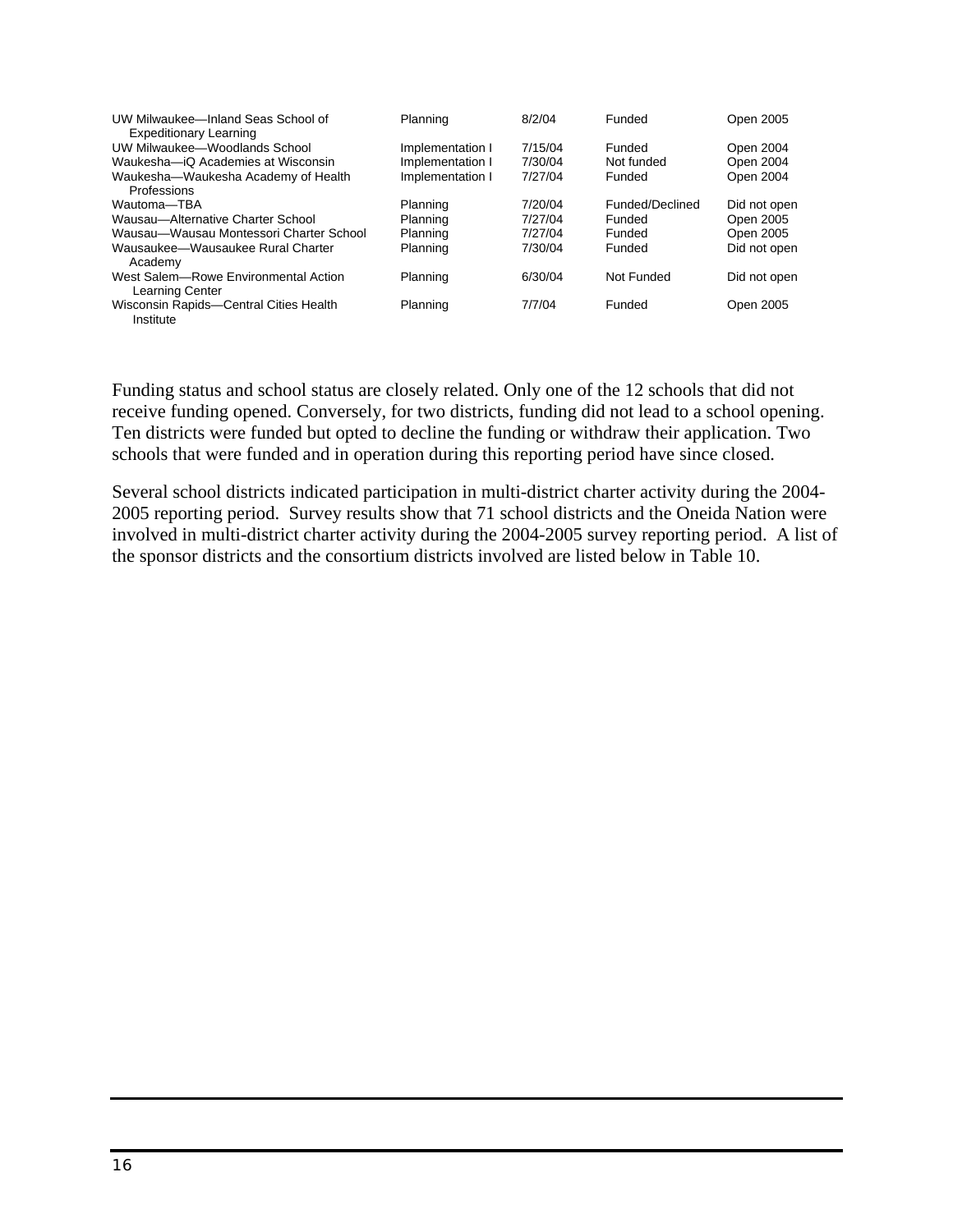| UW Milwaukee-Inland Seas School of<br><b>Expeditionary Learning</b> | Planning         | 8/2/04  | Funded          | Open 2005    |
|---------------------------------------------------------------------|------------------|---------|-----------------|--------------|
| UW Milwaukee-Woodlands School                                       | Implementation I | 7/15/04 | Funded          | Open 2004    |
| Waukesha-iQ Academies at Wisconsin                                  | Implementation I | 7/30/04 | Not funded      | Open 2004    |
| Waukesha-Waukesha Academy of Health                                 | Implementation I | 7/27/04 | Funded          | Open 2004    |
| Professions                                                         |                  |         |                 |              |
| Wautoma-TBA                                                         | Planning         | 7/20/04 | Funded/Declined | Did not open |
| Wausau-Alternative Charter School                                   | Planning         | 7/27/04 | Funded          | Open 2005    |
| Wausau-Wausau Montessori Charter School                             | Planning         | 7/27/04 | Funded          | Open 2005    |
| Wausaukee-Wausaukee Rural Charter<br>Academy                        | Planning         | 7/30/04 | Funded          | Did not open |
| West Salem-Rowe Environmental Action<br>Learning Center             | Planning         | 6/30/04 | Not Funded      | Did not open |
| Wisconsin Rapids-Central Cities Health<br>Institute                 | Planning         | 7/7/04  | Funded          | Open 2005    |

Funding status and school status are closely related. Only one of the 12 schools that did not receive funding opened. Conversely, for two districts, funding did not lead to a school opening. Ten districts were funded but opted to decline the funding or withdraw their application. Two schools that were funded and in operation during this reporting period have since closed.

Several school districts indicated participation in multi-district charter activity during the 2004- 2005 reporting period. Survey results show that 71 school districts and the Oneida Nation were involved in multi-district charter activity during the 2004-2005 survey reporting period. A list of the sponsor districts and the consortium districts involved are listed below in Table 10.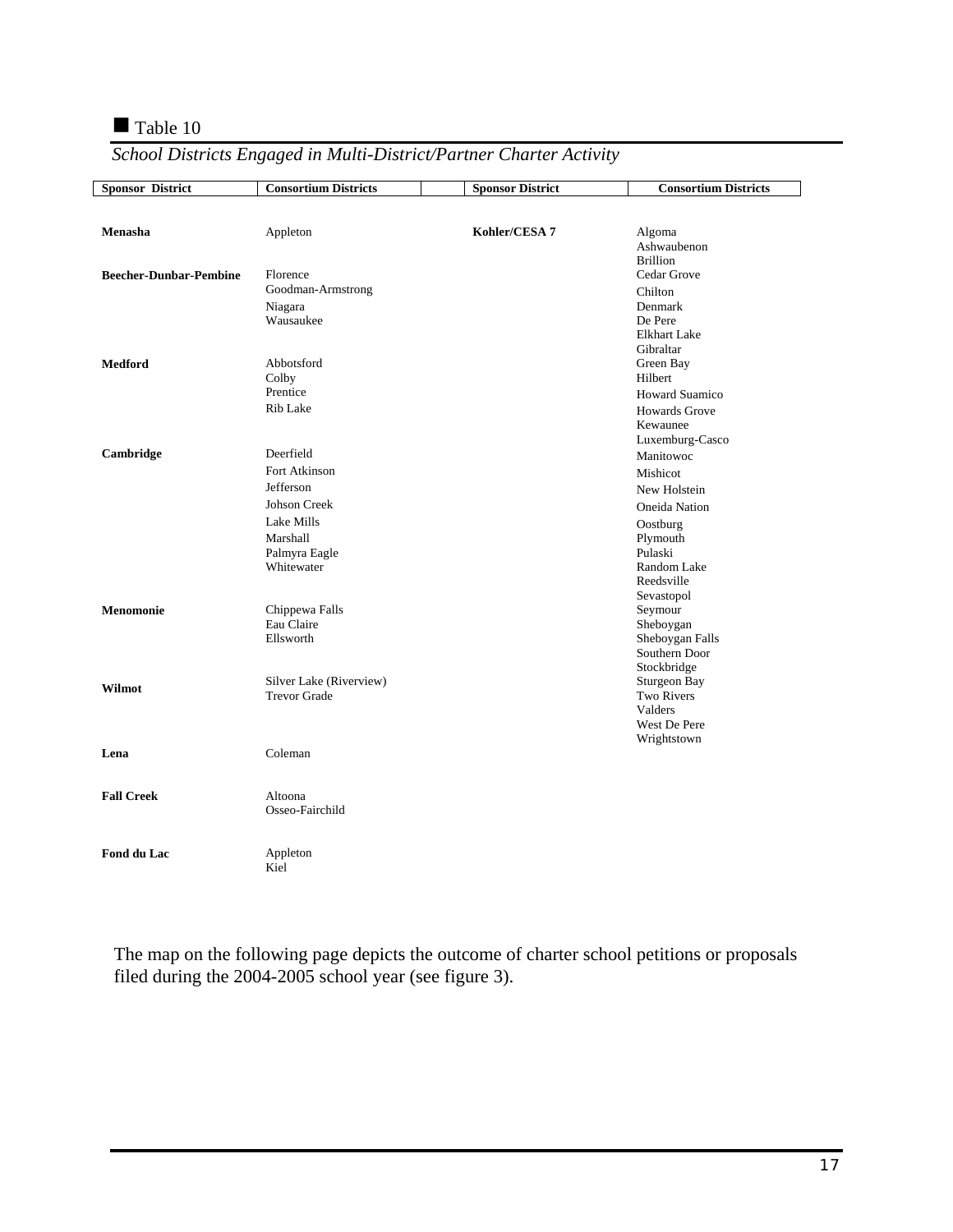### Table 10

| <b>Sponsor District</b>       | <b>Consortium Districts</b> | <b>Sponsor District</b> | <b>Consortium Districts</b>    |
|-------------------------------|-----------------------------|-------------------------|--------------------------------|
|                               |                             |                         |                                |
|                               |                             |                         |                                |
| Menasha                       | Appleton                    | Kohler/CESA 7           | Algoma                         |
|                               |                             |                         | Ashwaubenon                    |
|                               |                             |                         | <b>Brillion</b>                |
| <b>Beecher-Dunbar-Pembine</b> | Florence                    |                         | Cedar Grove                    |
|                               | Goodman-Armstrong           |                         | Chilton                        |
|                               | Niagara                     |                         | Denmark                        |
|                               | Wausaukee                   |                         | De Pere<br><b>Elkhart Lake</b> |
|                               |                             |                         | Gibraltar                      |
| <b>Medford</b>                | Abbotsford                  |                         | Green Bay                      |
|                               | Colby                       |                         | Hilbert                        |
|                               | Prentice                    |                         | <b>Howard Suamico</b>          |
|                               | <b>Rib Lake</b>             |                         | <b>Howards Grove</b>           |
|                               |                             |                         | Kewaunee                       |
|                               |                             |                         | Luxemburg-Casco                |
| Cambridge                     | Deerfield                   |                         | Manitowoc                      |
|                               | Fort Atkinson               |                         | Mishicot                       |
|                               | Jefferson                   |                         |                                |
|                               | <b>Johson Creek</b>         |                         | New Holstein                   |
|                               |                             |                         | Oneida Nation                  |
|                               | Lake Mills                  |                         | Oostburg                       |
|                               | Marshall                    |                         | Plymouth                       |
|                               | Palmyra Eagle<br>Whitewater |                         | Pulaski<br>Random Lake         |
|                               |                             |                         | Reedsville                     |
|                               |                             |                         | Sevastopol                     |
| Menomonie                     | Chippewa Falls              |                         | Seymour                        |
|                               | Eau Claire                  |                         | Sheboygan                      |
|                               | Ellsworth                   |                         | Sheboygan Falls                |
|                               |                             |                         | Southern Door                  |
|                               |                             |                         | Stockbridge                    |
| Wilmot                        | Silver Lake (Riverview)     |                         | Sturgeon Bay                   |
|                               | <b>Trevor Grade</b>         |                         | Two Rivers                     |
|                               |                             |                         | Valders                        |
|                               |                             |                         | West De Pere                   |
|                               | Coleman                     |                         | Wrightstown                    |
| Lena                          |                             |                         |                                |
|                               |                             |                         |                                |
| <b>Fall Creek</b>             | Altoona                     |                         |                                |
|                               | Osseo-Fairchild             |                         |                                |
|                               |                             |                         |                                |
|                               |                             |                         |                                |
| Fond du Lac                   | Appleton                    |                         |                                |
|                               | Kiel                        |                         |                                |

*School Districts Engaged in Multi-District/Partner Charter Activity* 

The map on the following page depicts the outcome of charter school petitions or proposals filed during the 2004-2005 school year (see figure 3).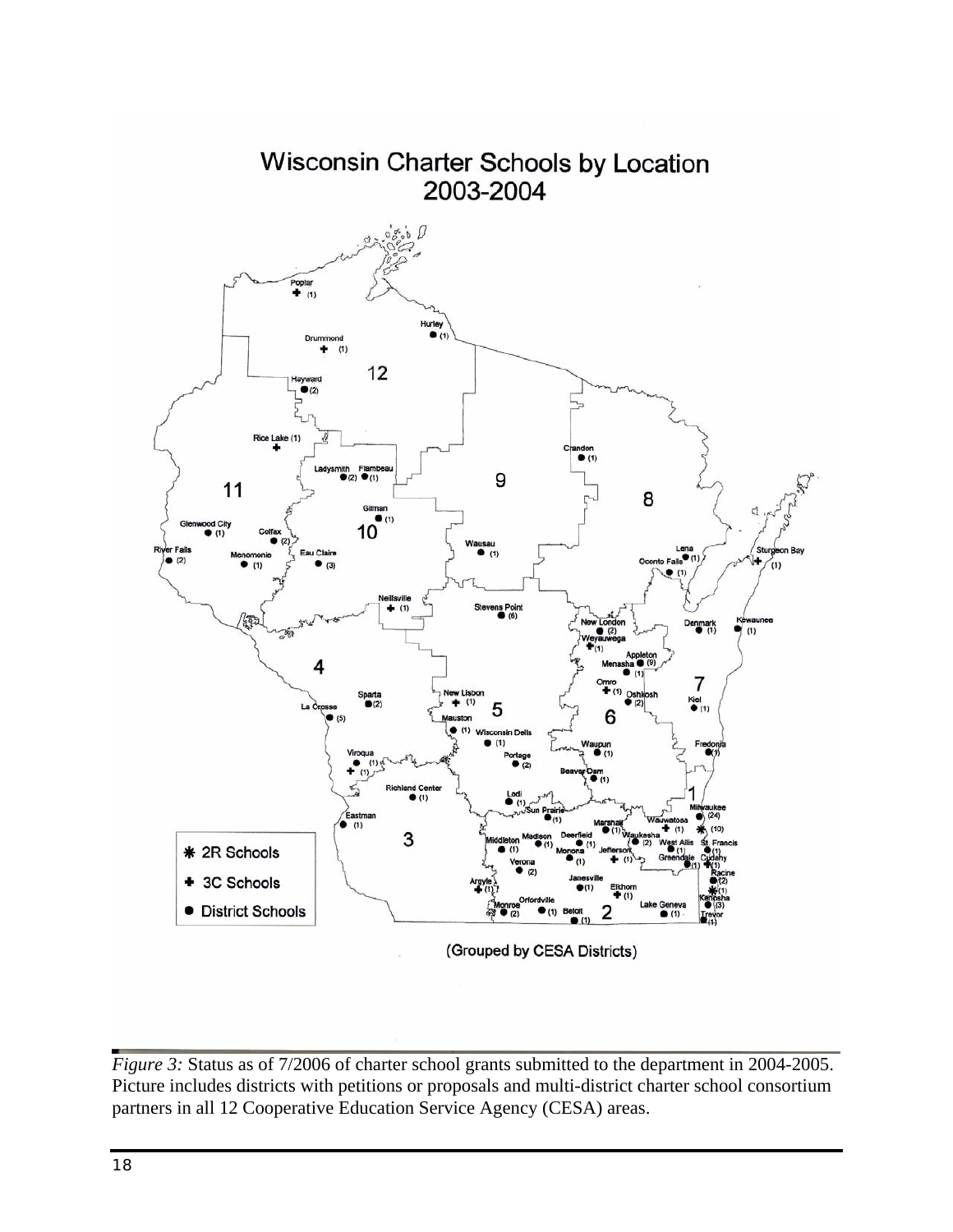

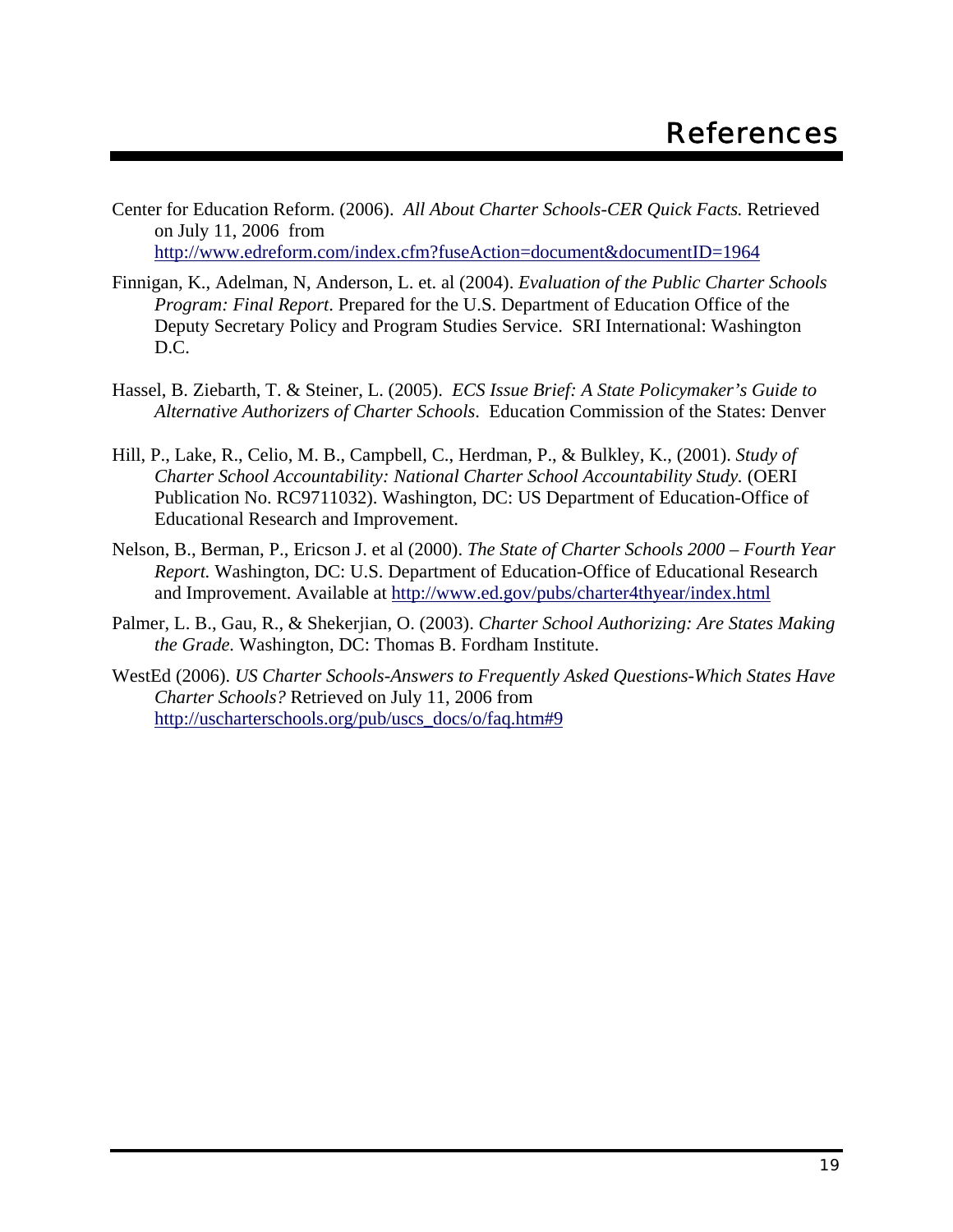- Center for Education Reform. (2006). *All About Charter Schools-CER Quick Facts.* Retrieved on July 11, 2006 from http://www.edreform.com/index.cfm?fuseAction=document&documentID=1964
- Finnigan, K., Adelman, N, Anderson, L. et. al (2004). *Evaluation of the Public Charter Schools Program: Final Report*. Prepared for the U.S. Department of Education Office of the Deputy Secretary Policy and Program Studies Service. SRI International: Washington D.C.
- Hassel, B. Ziebarth, T. & Steiner, L. (2005). *ECS Issue Brief: A State Policymaker's Guide to Alternative Authorizers of Charter Schools*. Education Commission of the States: Denver
- Hill, P., Lake, R., Celio, M. B., Campbell, C., Herdman, P., & Bulkley, K., (2001). *Study of Charter School Accountability: National Charter School Accountability Study.* (OERI Publication No. RC9711032). Washington, DC: US Department of Education-Office of Educational Research and Improvement.
- Nelson, B., Berman, P., Ericson J. et al (2000). *The State of Charter Schools 2000 Fourth Year Report.* Washington, DC: U.S. Department of Education-Office of Educational Research and Improvement. Available at http://www.ed.gov/pubs/charter4thyear/index.html
- Palmer, L. B., Gau, R., & Shekerjian, O. (2003). *Charter School Authorizing: Are States Making the Grade.* Washington, DC: Thomas B. Fordham Institute.
- WestEd (2006). *US Charter Schools-Answers to Frequently Asked Questions-Which States Have Charter Schools?* Retrieved on July 11, 2006 from http://uscharterschools.org/pub/uscs\_docs/o/faq.htm#9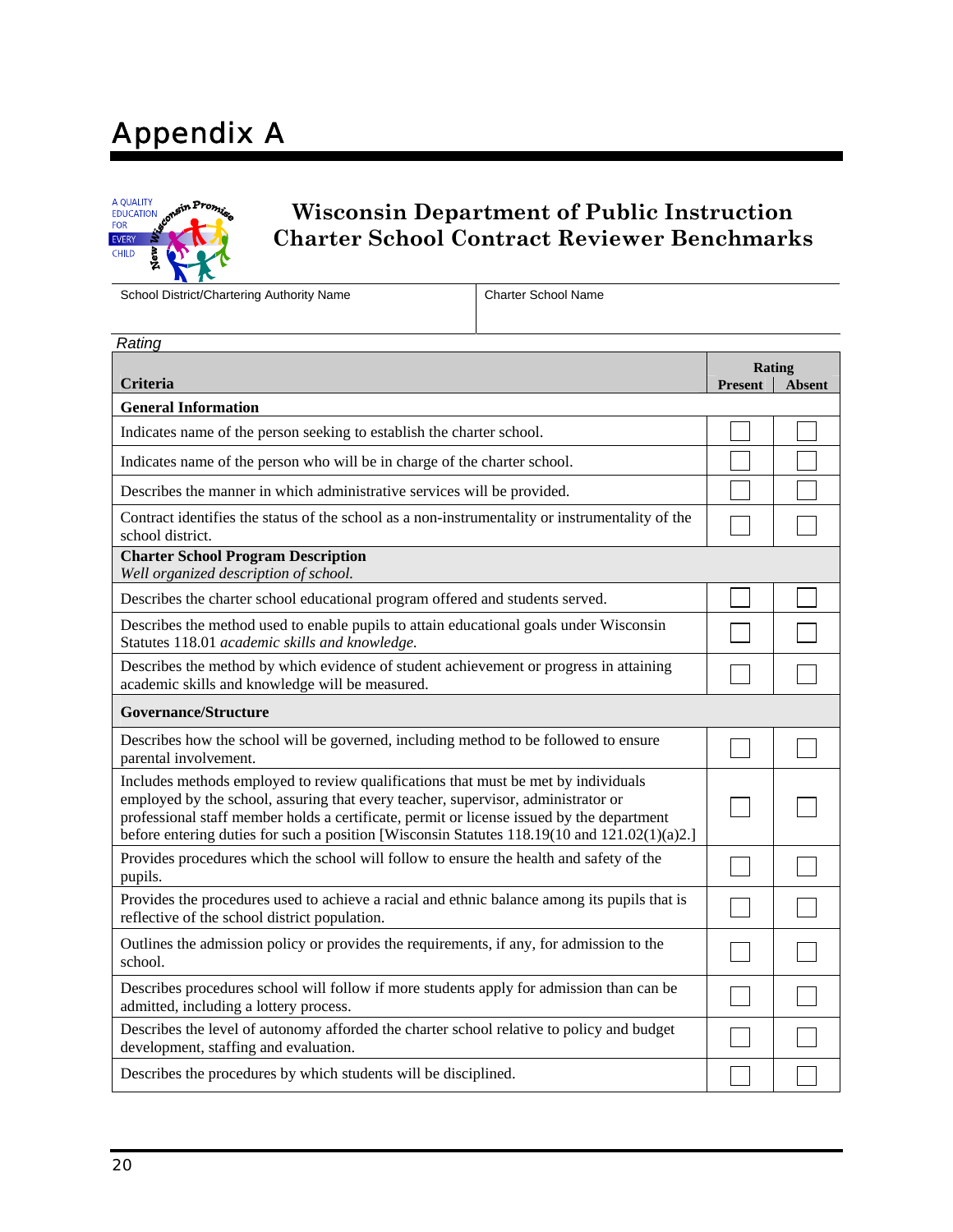# Appendix A



## **Wisconsin Department of Public Instruction Charter School Contract Reviewer Benchmarks**

School District/Chartering Authority Name Charter School Name

| Rating                                                                                                                                                                                                                                                                                                                                                               |                |                         |
|----------------------------------------------------------------------------------------------------------------------------------------------------------------------------------------------------------------------------------------------------------------------------------------------------------------------------------------------------------------------|----------------|-------------------------|
| Criteria                                                                                                                                                                                                                                                                                                                                                             | <b>Present</b> | Rating<br><b>Absent</b> |
| <b>General Information</b>                                                                                                                                                                                                                                                                                                                                           |                |                         |
| Indicates name of the person seeking to establish the charter school.                                                                                                                                                                                                                                                                                                |                |                         |
| Indicates name of the person who will be in charge of the charter school.                                                                                                                                                                                                                                                                                            |                |                         |
| Describes the manner in which administrative services will be provided.                                                                                                                                                                                                                                                                                              |                |                         |
| Contract identifies the status of the school as a non-instrumentality or instrumentality of the<br>school district.                                                                                                                                                                                                                                                  |                |                         |
| <b>Charter School Program Description</b><br>Well organized description of school.                                                                                                                                                                                                                                                                                   |                |                         |
| Describes the charter school educational program offered and students served.                                                                                                                                                                                                                                                                                        |                |                         |
| Describes the method used to enable pupils to attain educational goals under Wisconsin<br>Statutes 118.01 academic skills and knowledge.                                                                                                                                                                                                                             |                |                         |
| Describes the method by which evidence of student achievement or progress in attaining<br>academic skills and knowledge will be measured.                                                                                                                                                                                                                            |                |                         |
| <b>Governance/Structure</b>                                                                                                                                                                                                                                                                                                                                          |                |                         |
| Describes how the school will be governed, including method to be followed to ensure<br>parental involvement.                                                                                                                                                                                                                                                        |                |                         |
| Includes methods employed to review qualifications that must be met by individuals<br>employed by the school, assuring that every teacher, supervisor, administrator or<br>professional staff member holds a certificate, permit or license issued by the department<br>before entering duties for such a position [Wisconsin Statutes 118.19(10 and 121.02(1)(a)2.] |                |                         |
| Provides procedures which the school will follow to ensure the health and safety of the<br>pupils.                                                                                                                                                                                                                                                                   |                |                         |
| Provides the procedures used to achieve a racial and ethnic balance among its pupils that is<br>reflective of the school district population.                                                                                                                                                                                                                        |                |                         |
| Outlines the admission policy or provides the requirements, if any, for admission to the<br>school.                                                                                                                                                                                                                                                                  |                |                         |
| Describes procedures school will follow if more students apply for admission than can be<br>admitted, including a lottery process.                                                                                                                                                                                                                                   |                |                         |
| Describes the level of autonomy afforded the charter school relative to policy and budget<br>development, staffing and evaluation.                                                                                                                                                                                                                                   |                |                         |
| Describes the procedures by which students will be disciplined.                                                                                                                                                                                                                                                                                                      |                |                         |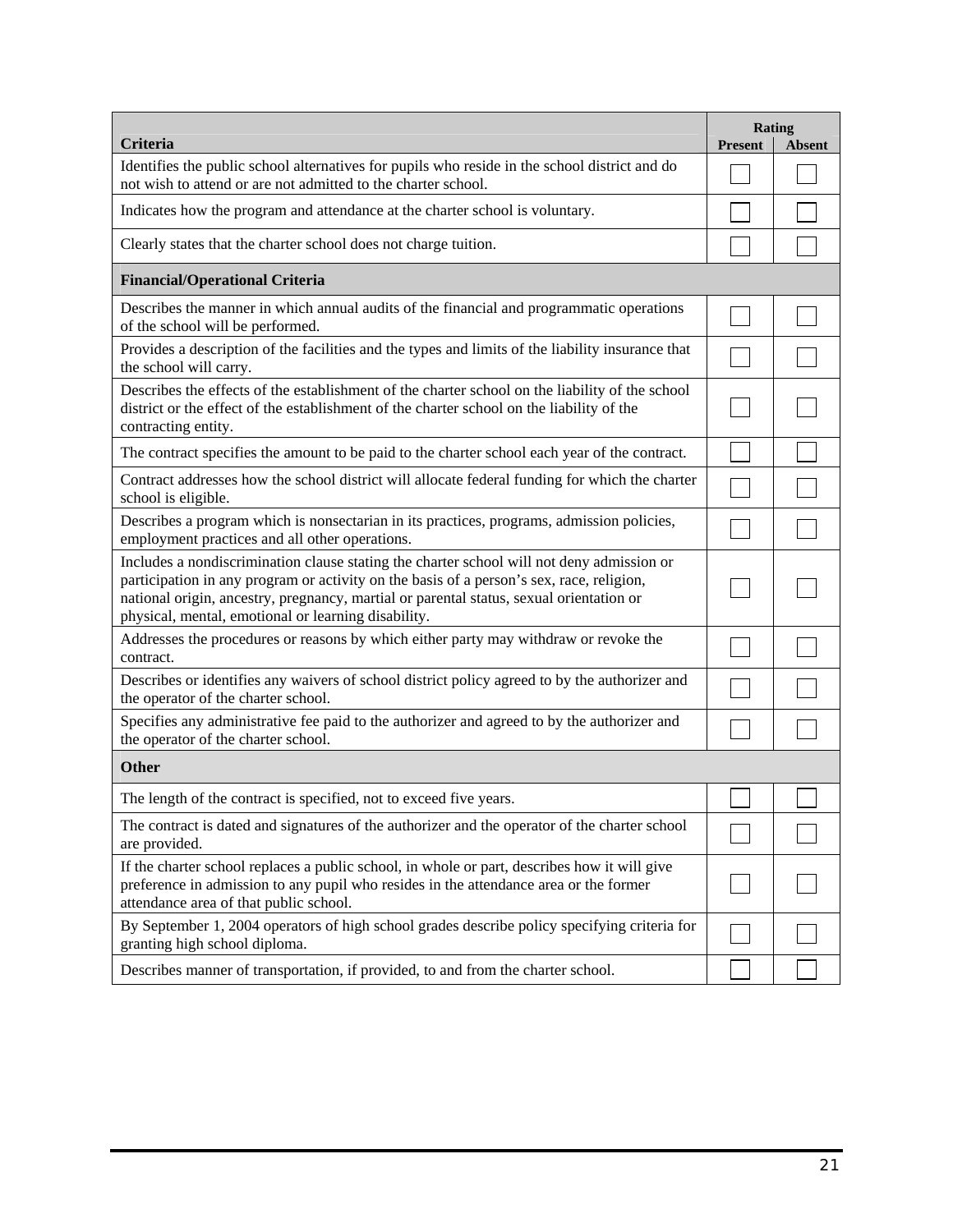|                                                                                                                                                                                                                                                                                                                                         |                | Rating        |
|-----------------------------------------------------------------------------------------------------------------------------------------------------------------------------------------------------------------------------------------------------------------------------------------------------------------------------------------|----------------|---------------|
| Criteria<br>Identifies the public school alternatives for pupils who reside in the school district and do                                                                                                                                                                                                                               | <b>Present</b> | <b>Absent</b> |
| not wish to attend or are not admitted to the charter school.                                                                                                                                                                                                                                                                           |                |               |
| Indicates how the program and attendance at the charter school is voluntary.                                                                                                                                                                                                                                                            |                |               |
| Clearly states that the charter school does not charge tuition.                                                                                                                                                                                                                                                                         |                |               |
| <b>Financial/Operational Criteria</b>                                                                                                                                                                                                                                                                                                   |                |               |
| Describes the manner in which annual audits of the financial and programmatic operations<br>of the school will be performed.                                                                                                                                                                                                            |                |               |
| Provides a description of the facilities and the types and limits of the liability insurance that<br>the school will carry.                                                                                                                                                                                                             |                |               |
| Describes the effects of the establishment of the charter school on the liability of the school<br>district or the effect of the establishment of the charter school on the liability of the<br>contracting entity.                                                                                                                     |                |               |
| The contract specifies the amount to be paid to the charter school each year of the contract.                                                                                                                                                                                                                                           |                |               |
| Contract addresses how the school district will allocate federal funding for which the charter<br>school is eligible.                                                                                                                                                                                                                   |                |               |
| Describes a program which is nonsectarian in its practices, programs, admission policies,<br>employment practices and all other operations.                                                                                                                                                                                             |                |               |
| Includes a nondiscrimination clause stating the charter school will not deny admission or<br>participation in any program or activity on the basis of a person's sex, race, religion,<br>national origin, ancestry, pregnancy, martial or parental status, sexual orientation or<br>physical, mental, emotional or learning disability. |                |               |
| Addresses the procedures or reasons by which either party may withdraw or revoke the<br>contract.                                                                                                                                                                                                                                       |                |               |
| Describes or identifies any waivers of school district policy agreed to by the authorizer and<br>the operator of the charter school.                                                                                                                                                                                                    |                |               |
| Specifies any administrative fee paid to the authorizer and agreed to by the authorizer and<br>the operator of the charter school.                                                                                                                                                                                                      |                |               |
| Other                                                                                                                                                                                                                                                                                                                                   |                |               |
| The length of the contract is specified, not to exceed five years.                                                                                                                                                                                                                                                                      |                |               |
| The contract is dated and signatures of the authorizer and the operator of the charter school<br>are provided.                                                                                                                                                                                                                          |                |               |
| If the charter school replaces a public school, in whole or part, describes how it will give<br>preference in admission to any pupil who resides in the attendance area or the former<br>attendance area of that public school.                                                                                                         |                |               |
| By September 1, 2004 operators of high school grades describe policy specifying criteria for<br>granting high school diploma.                                                                                                                                                                                                           |                |               |
| Describes manner of transportation, if provided, to and from the charter school.                                                                                                                                                                                                                                                        |                |               |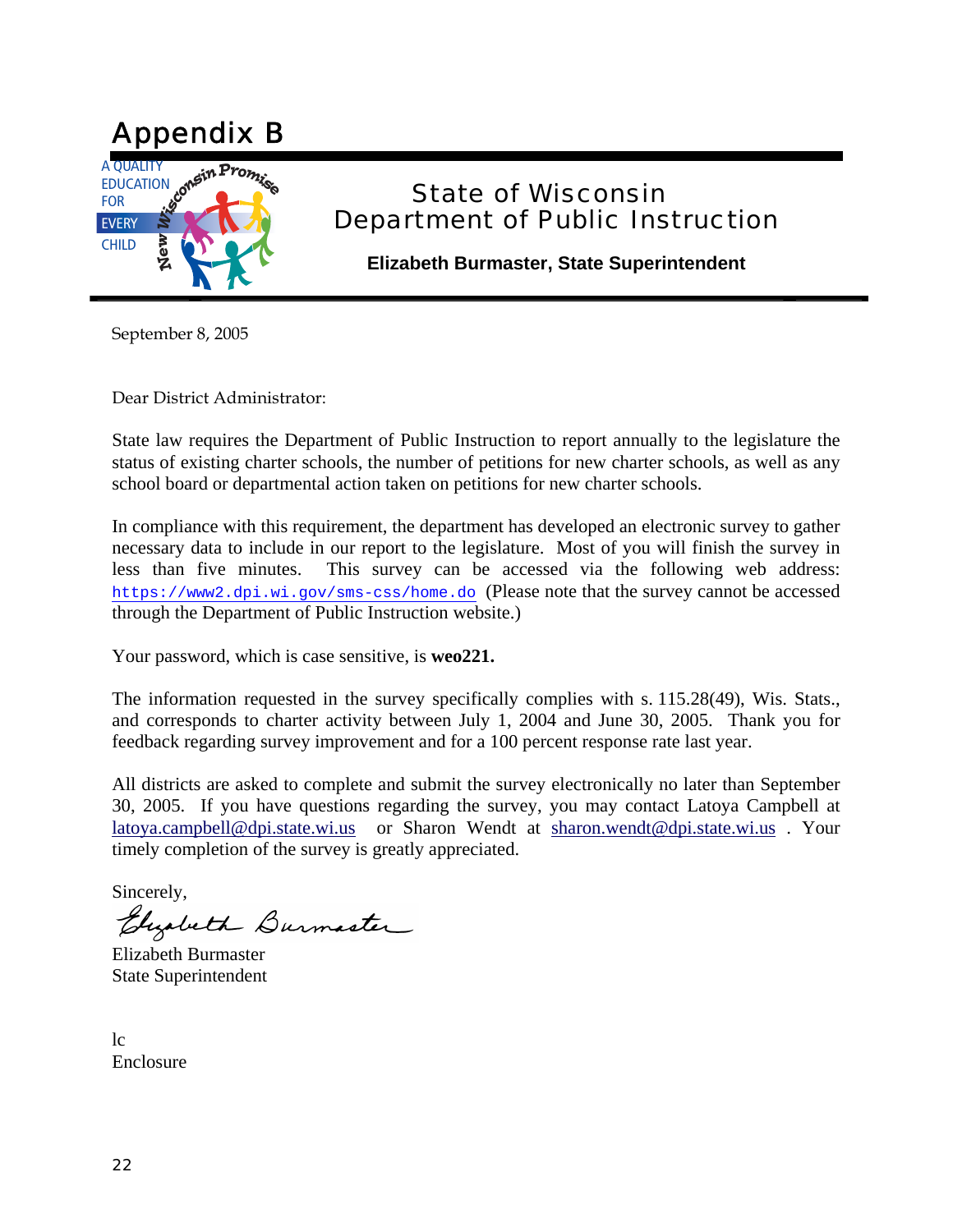

## State of Wisconsin Department of Public Instruction

**Elizabeth Burmaster, State Superintendent** 

September 8, 2005

Dear District Administrator:

State law requires the Department of Public Instruction to report annually to the legislature the status of existing charter schools, the number of petitions for new charter schools, as well as any school board or departmental action taken on petitions for new charter schools.

In compliance with this requirement, the department has developed an electronic survey to gather necessary data to include in our report to the legislature. Most of you will finish the survey in less than five minutes. This survey can be accessed via the following web address: https://www2.dpi.wi.gov/sms-css/home.do (Please note that the survey cannot be accessed through the Department of Public Instruction website.)

Your password, which is case sensitive, is **weo221.**

The information requested in the survey specifically complies with s. 115.28(49), Wis. Stats., and corresponds to charter activity between July 1, 2004 and June 30, 2005. Thank you for feedback regarding survey improvement and for a 100 percent response rate last year.

All districts are asked to complete and submit the survey electronically no later than September 30, 2005. If you have questions regarding the survey, you may contact Latoya Campbell at latoya.campbell@dpi.state.wi.us or Sharon Wendt at sharon.wendt@dpi.state.wi.us . Your timely completion of the survey is greatly appreciated.

Sincerely,

Elizabeth Burmaster

Elizabeth Burmaster State Superintendent

 $1c$ Enclosure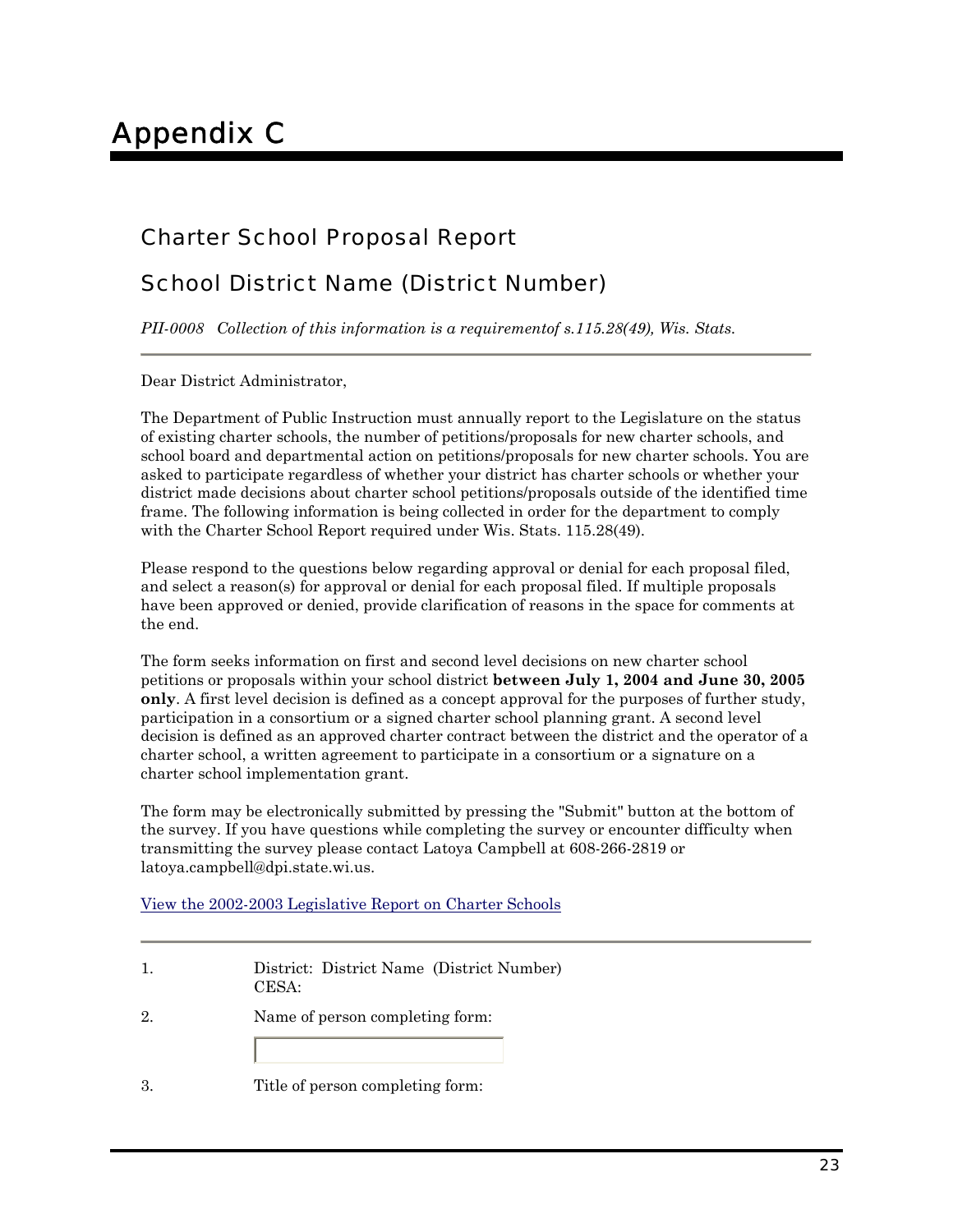## Charter School Proposal Report

## School District Name (District Number)

*PII-0008 Collection of this information is a requirementof s.115.28(49), Wis. Stats.*

Dear District Administrator,

The Department of Public Instruction must annually report to the Legislature on the status of existing charter schools, the number of petitions/proposals for new charter schools, and school board and departmental action on petitions/proposals for new charter schools. You are asked to participate regardless of whether your district has charter schools or whether your district made decisions about charter school petitions/proposals outside of the identified time frame. The following information is being collected in order for the department to comply with the Charter School Report required under Wis. Stats. 115.28(49).

Please respond to the questions below regarding approval or denial for each proposal filed, and select a reason(s) for approval or denial for each proposal filed. If multiple proposals have been approved or denied, provide clarification of reasons in the space for comments at the end.

The form seeks information on first and second level decisions on new charter school petitions or proposals within your school district **between July 1, 2004 and June 30, 2005 only**. A first level decision is defined as a concept approval for the purposes of further study, participation in a consortium or a signed charter school planning grant. A second level decision is defined as an approved charter contract between the district and the operator of a charter school, a written agreement to participate in a consortium or a signature on a charter school implementation grant.

The form may be electronically submitted by pressing the "Submit" button at the bottom of the survey. If you have questions while completing the survey or encounter difficulty when transmitting the survey please contact Latoya Campbell at 608-266-2819 or latoya.campbell@dpi.state.wi.us.

View the 2002-2003 Legislative Report on Charter Schools

|    | District: District Name (District Number)<br>CESA: |
|----|----------------------------------------------------|
| 2. | Name of person completing form:                    |
|    | Title of person completing form:                   |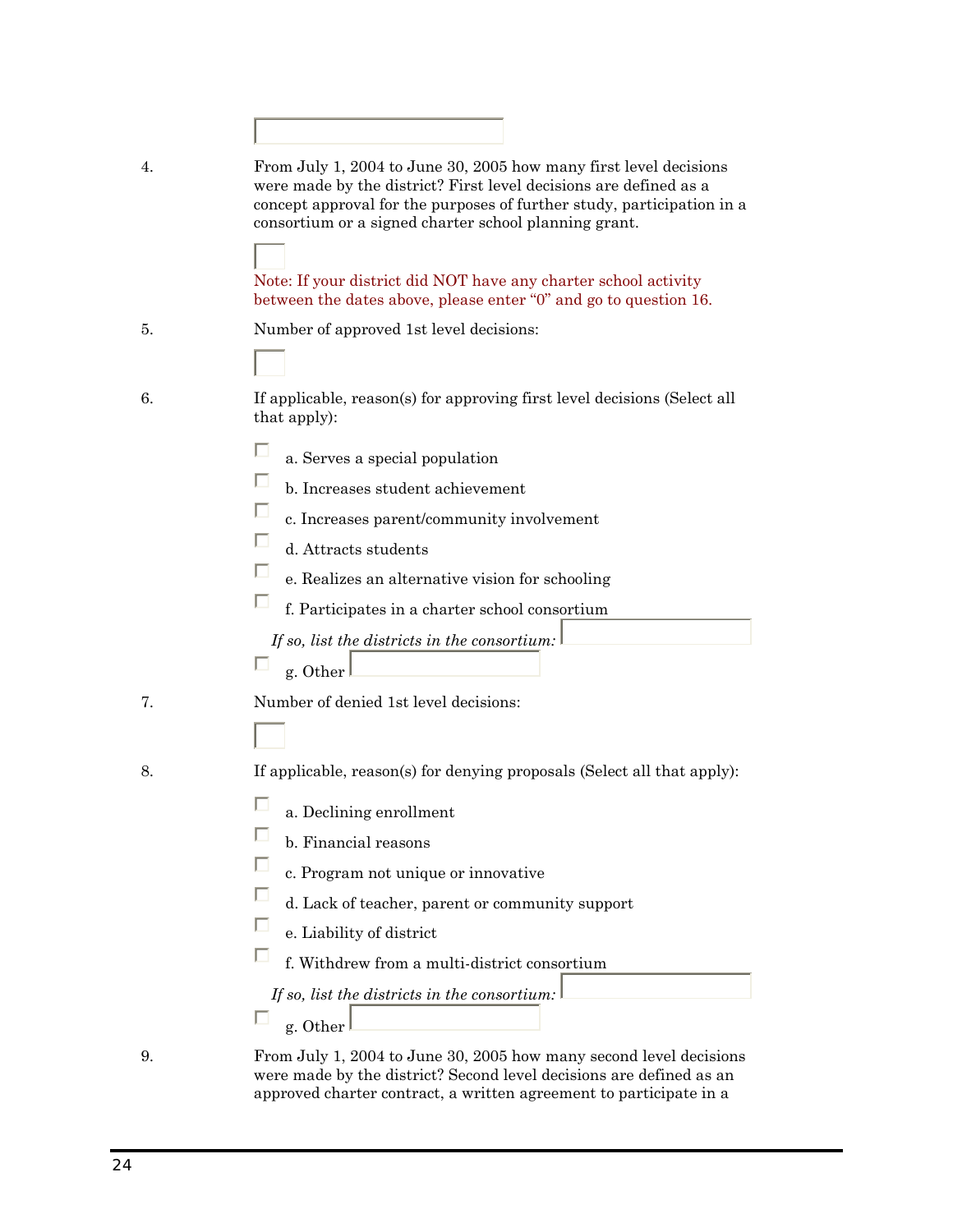| 4. | From July 1, 2004 to June 30, 2005 how many first level decisions<br>were made by the district? First level decisions are defined as a<br>concept approval for the purposes of further study, participation in a<br>consortium or a signed charter school planning grant. |
|----|---------------------------------------------------------------------------------------------------------------------------------------------------------------------------------------------------------------------------------------------------------------------------|
|    | Note: If your district did NOT have any charter school activity<br>between the dates above, please enter "0" and go to question 16.                                                                                                                                       |
| 5. | Number of approved 1st level decisions:                                                                                                                                                                                                                                   |
|    |                                                                                                                                                                                                                                                                           |
| 6. | If applicable, reason(s) for approving first level decisions (Select all<br>that apply):                                                                                                                                                                                  |
|    | a. Serves a special population                                                                                                                                                                                                                                            |
|    | b. Increases student achievement                                                                                                                                                                                                                                          |
|    | c. Increases parent/community involvement                                                                                                                                                                                                                                 |
|    | d. Attracts students                                                                                                                                                                                                                                                      |
|    | e. Realizes an alternative vision for schooling                                                                                                                                                                                                                           |
|    | f. Participates in a charter school consortium                                                                                                                                                                                                                            |
|    | If so, list the districts in the consortium:                                                                                                                                                                                                                              |
|    | g. Other                                                                                                                                                                                                                                                                  |
| 7. | Number of denied 1st level decisions:                                                                                                                                                                                                                                     |
|    |                                                                                                                                                                                                                                                                           |
| 8. | If applicable, reason(s) for denying proposals (Select all that apply):                                                                                                                                                                                                   |
|    | a. Declining enrollment                                                                                                                                                                                                                                                   |
|    | b. Financial reasons                                                                                                                                                                                                                                                      |
|    | c. Program not unique or innovative                                                                                                                                                                                                                                       |
|    | d. Lack of teacher, parent or community support                                                                                                                                                                                                                           |
|    | e. Liability of district                                                                                                                                                                                                                                                  |
|    | f. Withdrew from a multi-district consortium                                                                                                                                                                                                                              |
|    | If so, list the districts in the consortium:                                                                                                                                                                                                                              |
|    | g. Other                                                                                                                                                                                                                                                                  |
|    |                                                                                                                                                                                                                                                                           |

9. From July 1, 2004 to June 30, 2005 how many second level decisions were made by the district? Second level decisions are defined as an approved charter contract, a written agreement to participate in a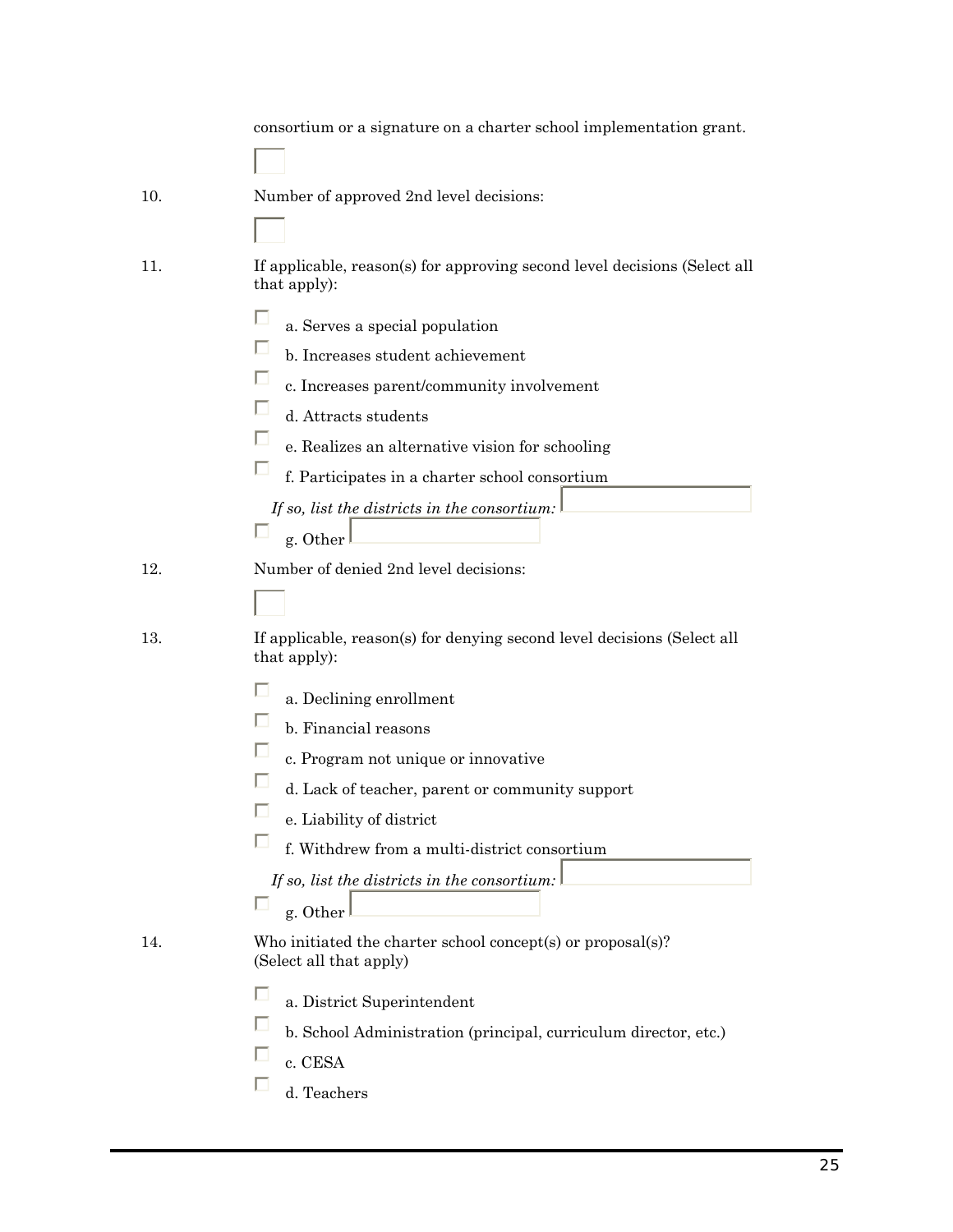|     | consortium or a signature on a charter school implementation grant.                                                                                                                                                                                                                                                                                                                |
|-----|------------------------------------------------------------------------------------------------------------------------------------------------------------------------------------------------------------------------------------------------------------------------------------------------------------------------------------------------------------------------------------|
| 10. | Number of approved 2nd level decisions:                                                                                                                                                                                                                                                                                                                                            |
| 11. | If applicable, reason(s) for approving second level decisions (Select all<br>that apply):                                                                                                                                                                                                                                                                                          |
|     | a. Serves a special population<br>b. Increases student achievement<br>c. Increases parent/community involvement<br>d. Attracts students<br>e. Realizes an alternative vision for schooling<br>f. Participates in a charter school consortium<br>If so, list the districts in the consortium:<br>g. Other                                                                           |
| 12. | Number of denied 2nd level decisions:                                                                                                                                                                                                                                                                                                                                              |
| 13. | If applicable, reason(s) for denying second level decisions (Select all<br>that apply):<br>a. Declining enrollment<br>b. Financial reasons<br>c. Program not unique or innovative<br>d. Lack of teacher, parent or community support<br>J.<br>e. Liability of district<br>f. Withdrew from a multi-district consortium<br>If so, list the districts in the consortium:<br>g. Other |
| 14. | Who initiated the charter school concept(s) or proposal(s)?<br>(Select all that apply)<br>a. District Superintendent<br>b. School Administration (principal, curriculum director, etc.)<br>c. CESA<br>d. Teachers                                                                                                                                                                  |